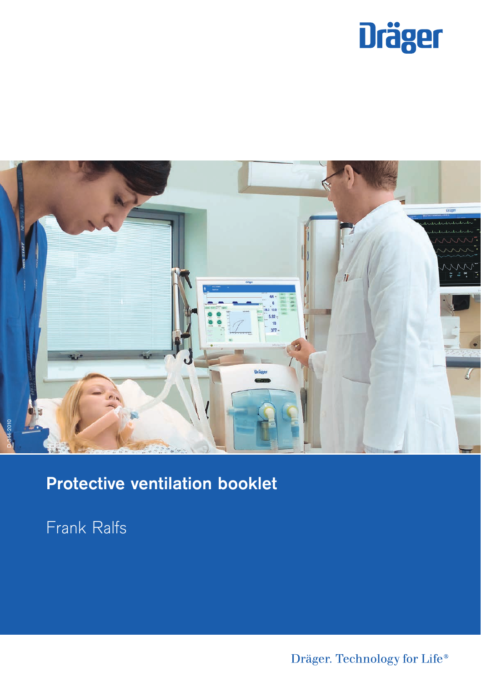



# Protective ventilation booklet

Frank Ralfs

Dräger. Technology for Life®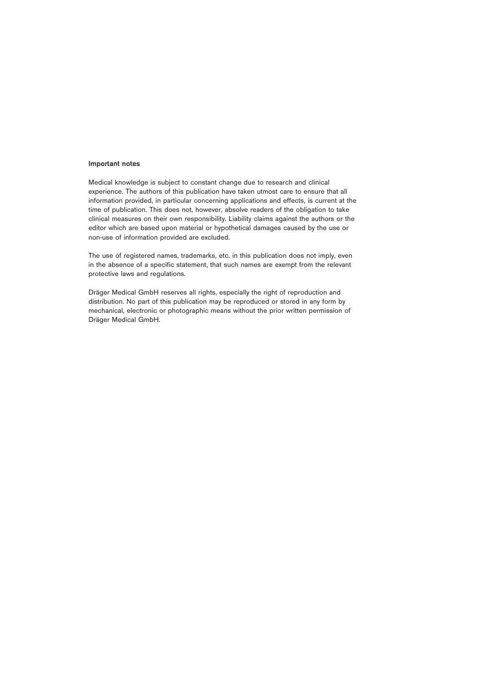#### Important notes

Medical knowledge is subject to constant change due to research and clinical experience. The authors of this publication have taken utmost care to ensure that all information provided, in particular concerning applications and effects, is current at the time of publication. This does not, however, absolve readers of the obligation to take clinical measures on their own responsibility. Liability claims against the authors or the editor which are based upon material or hypothetical damages caused by the use or non-use of information provided are excluded.

The use of registered names, trademarks, etc. in this publication does not imply, even in the absence of a specific statement, that such names are exempt from the relevant protective laws and regulations.

Dräger Medical GmbH reserves all rights, especially the right of reproduction and distribution. No part of this publication may be reproduced or stored in any form by mechanical, electronic or photographic means without the prior written permission of Dräger Medical GmbH.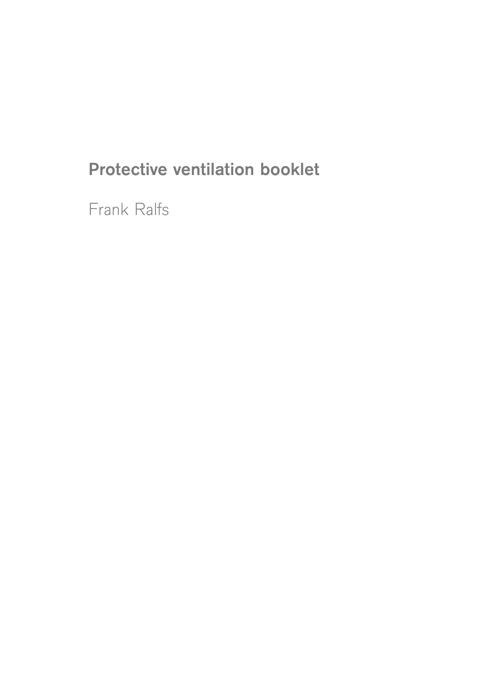# Protective ventilation booklet

Frank Ralfs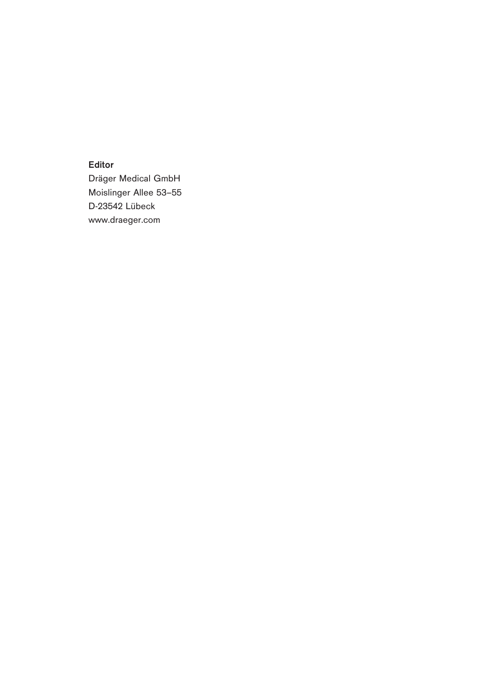Editor

Dräger Medical GmbH Moislinger Allee 53–55 D-23542 Lübeck www.draeger.com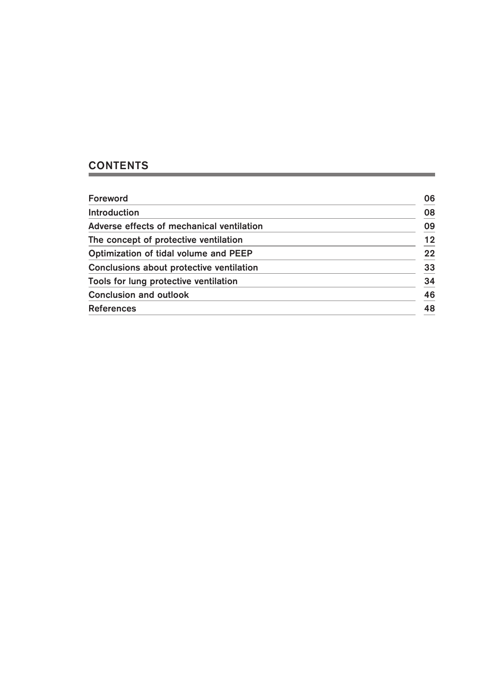## **CONTENTS**

| Foreword                                  | 06 |
|-------------------------------------------|----|
| <b>Introduction</b>                       | 08 |
| Adverse effects of mechanical ventilation | 09 |
| The concept of protective ventilation     | 12 |
| Optimization of tidal volume and PEEP     | 22 |
| Conclusions about protective ventilation  | 33 |
| Tools for lung protective ventilation     | 34 |
| <b>Conclusion and outlook</b>             | 46 |
| <b>References</b>                         | 48 |
|                                           |    |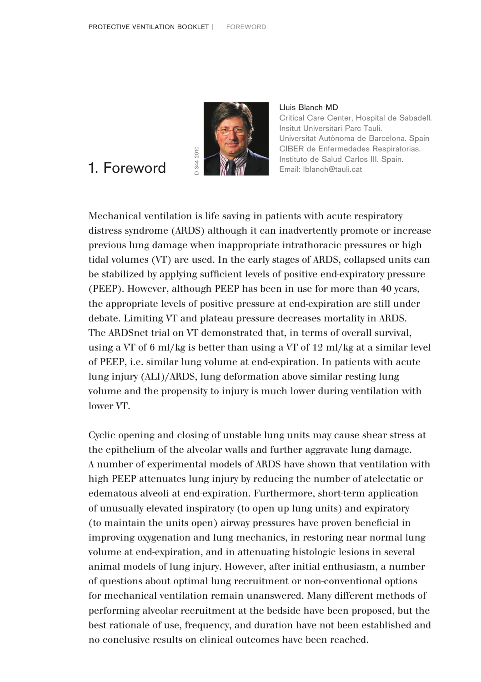

### Lluis Blanch MD Critical Care Center, Hospital de Sabadell. Insitut Universitari Parc Tauli. Universitat Autònoma de Barcelona. Spain CIBER de Enfermedades Respiratorias. Instituto de Salud Carlos III. Spain. Email: lblanch@tauli.cat

# 1. Foreword

Mechanical ventilation is life saving in patients with acute respiratory distress syndrome (ARDS) although it can inadvertently promote or increase previous lung damage when inappropriate intrathoracic pressures or high tidal volumes (VT) are used. In the early stages of ARDS, collapsed units can be stabilized by applying sufficient levels of positive end-expiratory pressure (PEEP). However, although PEEP has been in use for more than 40 years, the appropriate levels of positive pressure at end-expiration are still under debate. Limiting VT and plateau pressure decreases mortality in ARDS. The ARDSnet trial on VT demonstrated that, in terms of overall survival, using a VT of 6 ml/kg is better than using a VT of 12 ml/kg at a similar level of PEEP, i.e. similar lung volume at end-expiration. In patients with acute lung injury (ALI)/ARDS, lung deformation above similar resting lung volume and the propensity to injury is much lower during ventilation with lower VT.

Cyclic opening and closing of unstable lung units may cause shear stress at the epithelium of the alveolar walls and further aggravate lung damage. A number of experimental models of ARDS have shown that ventilation with high PEEP attenuates lung injury by reducing the number of atelectatic or edematous alveoli at end-expiration. Furthermore, short-term application of unusually elevated inspiratory (to open up lung units) and expiratory (to maintain the units open) airway pressures have proven beneficial in improving oxygenation and lung mechanics, in restoring near normal lung volume at end-expiration, and in attenuating histologic lesions in several animal models of lung injury. However, after initial enthusiasm, a number of questions about optimal lung recruitment or non-conventional options for mechanical ventilation remain unanswered. Many different methods of performing alveolar recruitment at the bedside have been proposed, but the best rationale of use, frequency, and duration have not been established and no conclusive results on clinical outcomes have been reached.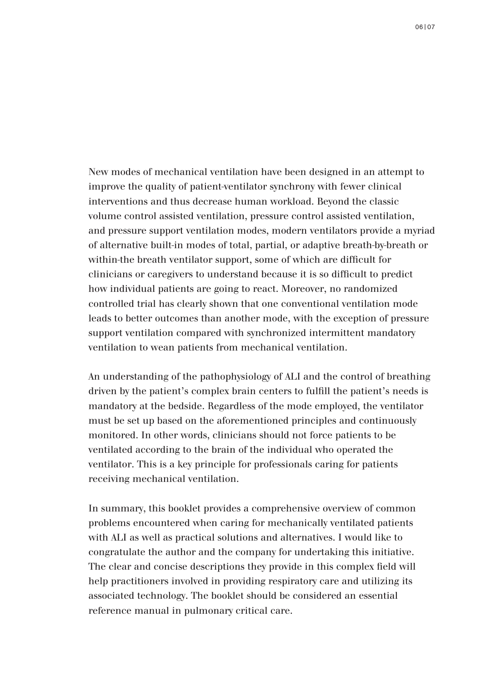New modes of mechanical ventilation have been designed in an attempt to improve the quality of patient-ventilator synchrony with fewer clinical interventions and thus decrease human workload. Beyond the classic volume control assisted ventilation, pressure control assisted ventilation, and pressure support ventilation modes, modern ventilators provide a myriad of alternative built-in modes of total, partial, or adaptive breath-by-breath or within-the breath ventilator support, some of which are difficult for clinicians or caregivers to understand because it is so difficult to predict how individual patients are going to react. Moreover, no randomized controlled trial has clearly shown that one conventional ventilation mode leads to better outcomes than another mode, with the exception of pressure support ventilation compared with synchronized intermittent mandatory ventilation to wean patients from mechanical ventilation.

An understanding of the pathophysiology of ALI and the control of breathing driven by the patient's complex brain centers to fulfill the patient's needs is mandatory at the bedside. Regardless of the mode employed, the ventilator must be set up based on the aforementioned principles and continuously monitored. In other words, clinicians should not force patients to be ventilated according to the brain of the individual who operated the ventilator. This is a key principle for professionals caring for patients receiving mechanical ventilation.

In summary, this booklet provides a comprehensive overview of common problems encountered when caring for mechanically ventilated patients with ALI as well as practical solutions and alternatives. I would like to congratulate the author and the company for undertaking this initiative. The clear and concise descriptions they provide in this complex field will help practitioners involved in providing respiratory care and utilizing its associated technology. The booklet should be considered an essential reference manual in pulmonary critical care.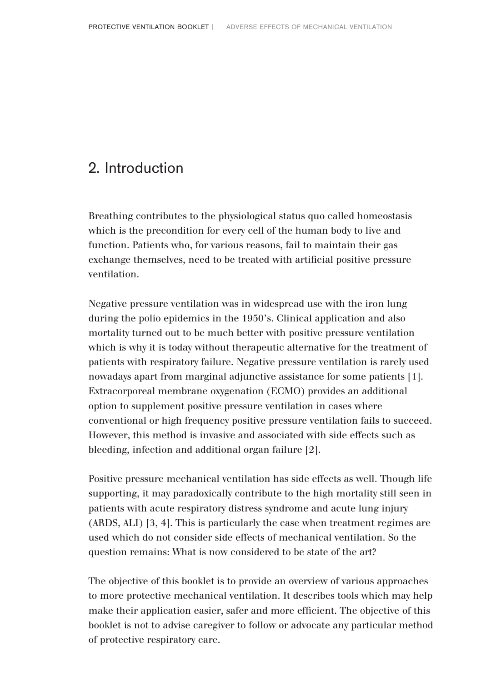# 2. Introduction

Breathing contributes to the physiological status quo called homeostasis which is the precondition for every cell of the human body to live and function. Patients who, for various reasons, fail to maintain their gas exchange themselves, need to be treated with artificial positive pressure ventilation.

Negative pressure ventilation was in widespread use with the iron lung during the polio epidemics in the 1950's. Clinical application and also mortality turned out to be much better with positive pressure ventilation which is why it is today without therapeutic alternative for the treatment of patients with respiratory failure. Negative pressure ventilation is rarely used nowadays apart from marginal adjunctive assistance for some patients [1]. Extracorporeal membrane oxygenation (ECMO) provides an additional option to supplement positive pressure ventilation in cases where conventional or high frequency positive pressure ventilation fails to succeed. However, this method is invasive and associated with side effects such as bleeding, infection and additional organ failure [2].

Positive pressure mechanical ventilation has side effects as well. Though life supporting, it may paradoxically contribute to the high mortality still seen in patients with acute respiratory distress syndrome and acute lung injury (ARDS, ALI) [3, 4]. This is particularly the case when treatment regimes are used which do not consider side effects of mechanical ventilation. So the question remains: What is now considered to be state of the art?

The objective of this booklet is to provide an overview of various approaches to more protective mechanical ventilation. It describes tools which may help make their application easier, safer and more efficient. The objective of this booklet is not to advise caregiver to follow or advocate any particular method of protective respiratory care.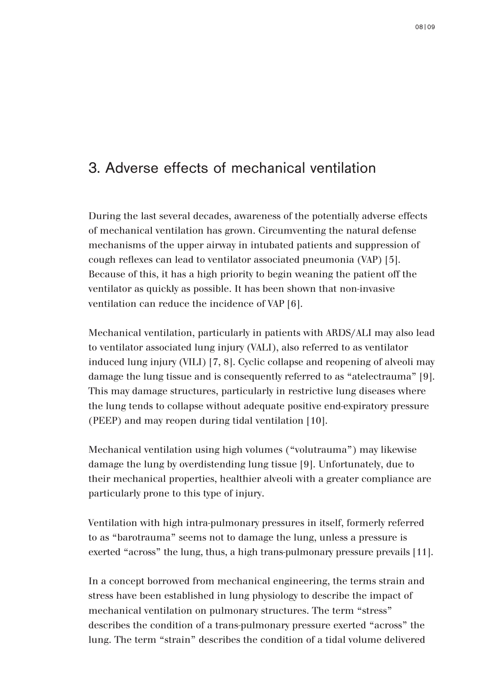# 3. Adverse effects of mechanical ventilation

During the last several decades, awareness of the potentially adverse effects of mechanical ventilation has grown. Circumventing the natural defense mechanisms of the upper airway in intubated patients and suppression of cough reflexes can lead to ventilator associated pneumonia (VAP) [5]. Because of this, it has a high priority to begin weaning the patient off the ventilator as quickly as possible. It has been shown that non-invasive ventilation can reduce the incidence of VAP [6].

Mechanical ventilation, particularly in patients with ARDS/ALI may also lead to ventilator associated lung injury (VALI), also referred to as ventilator induced lung injury (VILI) [7, 8]. Cyclic collapse and reopening of alveoli may damage the lung tissue and is consequently referred to as "atelectrauma" [9]. This may damage structures, particularly in restrictive lung diseases where the lung tends to collapse without adequate positive end-expiratory pressure (PEEP) and may reopen during tidal ventilation [10].

Mechanical ventilation using high volumes ("volutrauma") may likewise damage the lung by overdistending lung tissue [9]. Unfortunately, due to their mechanical properties, healthier alveoli with a greater compliance are particularly prone to this type of injury.

Ventilation with high intra-pulmonary pressures in itself, formerly referred to as "barotrauma" seems not to damage the lung, unless a pressure is exerted "across" the lung, thus, a high trans-pulmonary pressure prevails [11].

In a concept borrowed from mechanical engineering, the terms strain and stress have been established in lung physiology to describe the impact of mechanical ventilation on pulmonary structures. The term "stress" describes the condition of a trans-pulmonary pressure exerted "across" the lung. The term "strain" describes the condition of a tidal volume delivered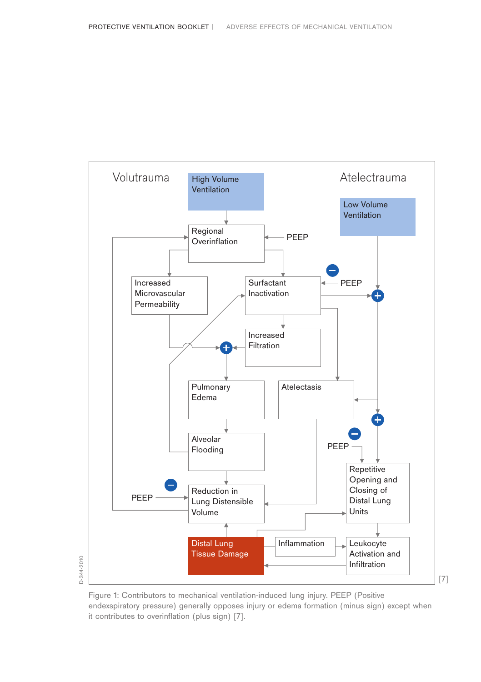

Figure 1: Contributors to mechanical ventilation-induced lung injury. PEEP (Positive endexspiratory pressure) generally opposes injury or edema formation (minus sign) except when it contributes to overinflation (plus sign) [7].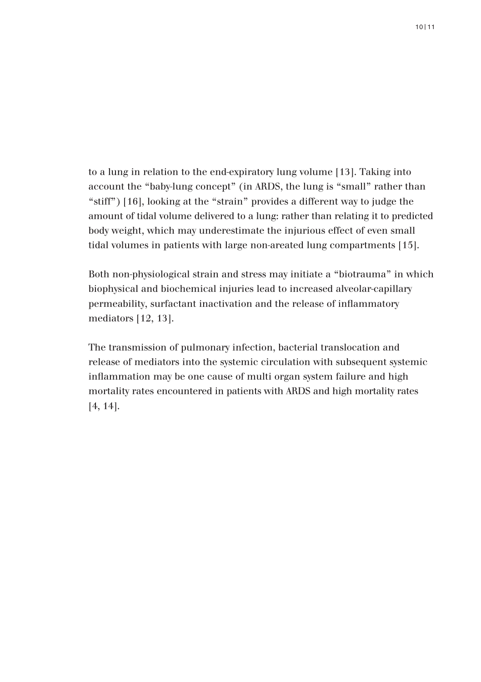to a lung in relation to the end-expiratory lung volume [13]. Taking into account the "baby-lung concept" (in ARDS, the lung is "small" rather than "stiff") [16], looking at the "strain" provides a different way to judge the amount of tidal volume delivered to a lung: rather than relating it to predicted body weight, which may underestimate the injurious effect of even small tidal volumes in patients with large non-areated lung compartments [15].

Both non-physiological strain and stress may initiate a "biotrauma" in which biophysical and biochemical injuries lead to increased alveolar-capillary permeability, surfactant inactivation and the release of inflammatory mediators [12, 13].

The transmission of pulmonary infection, bacterial translocation and release of mediators into the systemic circulation with subsequent systemic inflammation may be one cause of multi organ system failure and high mortality rates encountered in patients with ARDS and high mortality rates [4, 14].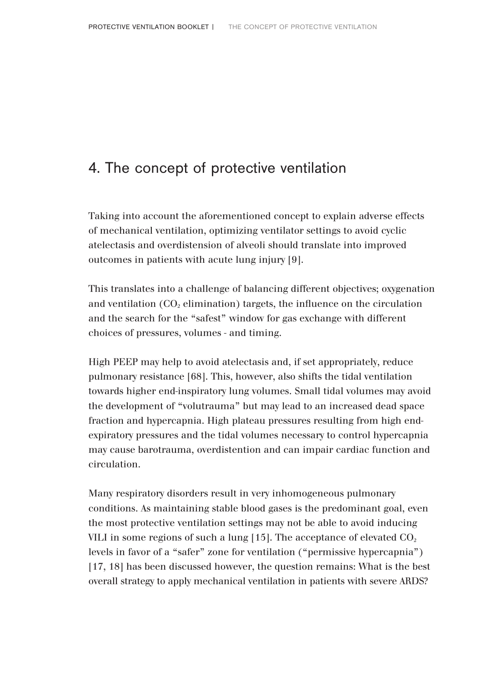# 4. The concept of protective ventilation

Taking into account the aforementioned concept to explain adverse effects of mechanical ventilation, optimizing ventilator settings to avoid cyclic atelectasis and overdistension of alveoli should translate into improved outcomes in patients with acute lung injury [9].

This translates into a challenge of balancing different objectives; oxygenation and ventilation  $(CO_2$  elimination) targets, the influence on the circulation and the search for the "safest" window for gas exchange with different choices of pressures, volumes - and timing.

High PEEP may help to avoid atelectasis and, if set appropriately, reduce pulmonary resistance [68]. This, however, also shifts the tidal ventilation towards higher end-inspiratory lung volumes. Small tidal volumes may avoid the development of "volutrauma" but may lead to an increased dead space fraction and hypercapnia. High plateau pressures resulting from high endexpiratory pressures and the tidal volumes necessary to control hypercapnia may cause barotrauma, overdistention and can impair cardiac function and circulation.

Many respiratory disorders result in very inhomogeneous pulmonary conditions. As maintaining stable blood gases is the predominant goal, even the most protective ventilation settings may not be able to avoid inducing VILI in some regions of such a lung  $[15]$ . The acceptance of elevated  $CO<sub>2</sub>$ levels in favor of a "safer" zone for ventilation ("permissive hypercapnia") [17, 18] has been discussed however, the question remains: What is the best overall strategy to apply mechanical ventilation in patients with severe ARDS?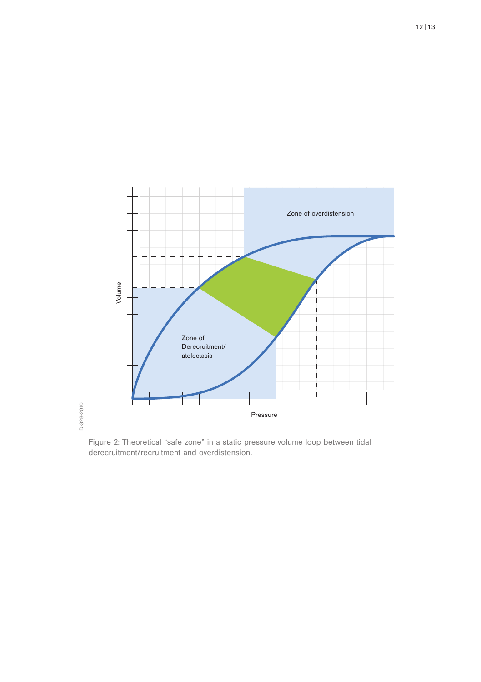

Figure 2: Theoretical "safe zone" in a static pressure volume loop between tidal derecruitment/recruitment and overdistension.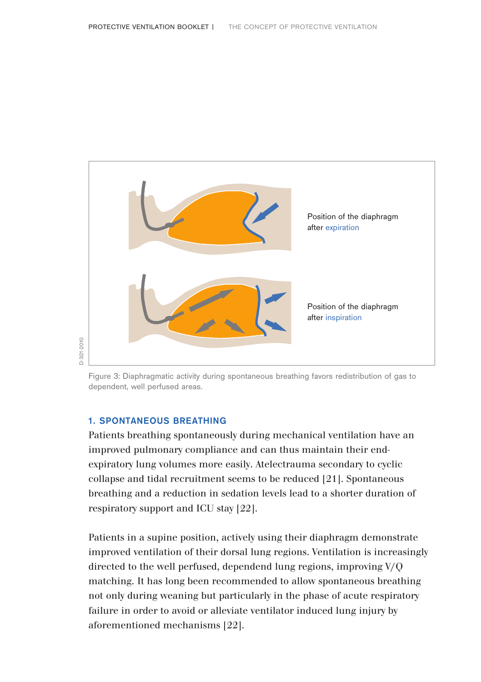

Figure 3: Diaphragmatic activity during spontaneous breathing favors redistribution of gas to dependent, well perfused areas.

### 1. SPONTANEOUS BREATHING

Patients breathing spontaneously during mechanical ventilation have an improved pulmonary compliance and can thus maintain their endexpiratory lung volumes more easily. Atelectrauma secondary to cyclic collapse and tidal recruitment seems to be reduced [21]. Spontaneous breathing and a reduction in sedation levels lead to a shorter duration of respiratory support and ICU stay [22].

Patients in a supine position, actively using their diaphragm demonstrate improved ventilation of their dorsal lung regions. Ventilation is increasingly directed to the well perfused, dependend lung regions, improving V/Q matching. It has long been recommended to allow spontaneous breathing not only during weaning but particularly in the phase of acute respiratory failure in order to avoid or alleviate ventilator induced lung injury by aforementioned mechanisms [22].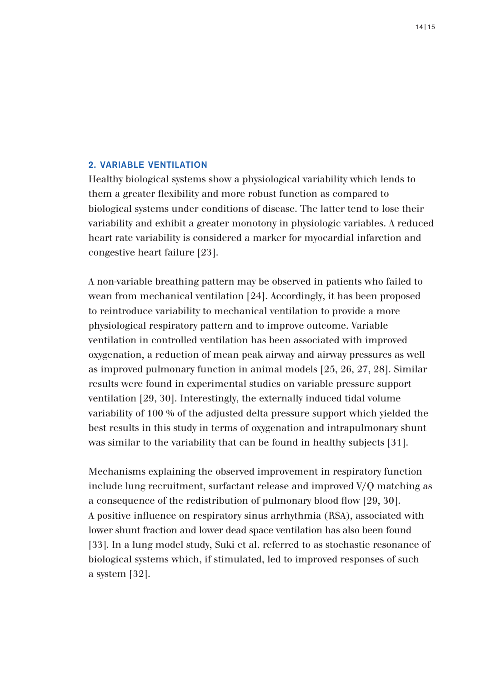### 2. VARIABLE VENTILATION

Healthy biological systems show a physiological variability which lends to them a greater flexibility and more robust function as compared to biological systems under conditions of disease. The latter tend to lose their variability and exhibit a greater monotony in physiologic variables. A reduced heart rate variability is considered a marker for myocardial infarction and congestive heart failure [23].

A non-variable breathing pattern may be observed in patients who failed to wean from mechanical ventilation [24]. Accordingly, it has been proposed to reintroduce variability to mechanical ventilation to provide a more physiological respiratory pattern and to improve outcome. Variable ventilation in controlled ventilation has been associated with improved oxygenation, a reduction of mean peak airway and airway pressures as well as improved pulmonary function in animal models [25, 26, 27, 28]. Similar results were found in experimental studies on variable pressure support ventilation [29, 30]. Interestingly, the externally induced tidal volume variability of 100 % of the adjusted delta pressure support which yielded the best results in this study in terms of oxygenation and intrapulmonary shunt was similar to the variability that can be found in healthy subjects [31].

Mechanisms explaining the observed improvement in respiratory function include lung recruitment, surfactant release and improved V/Q matching as a consequence of the redistribution of pulmonary blood flow [29, 30]. A positive influence on respiratory sinus arrhythmia (RSA), associated with lower shunt fraction and lower dead space ventilation has also been found [33]. In a lung model study, Suki et al. referred to as stochastic resonance of biological systems which, if stimulated, led to improved responses of such a system [32].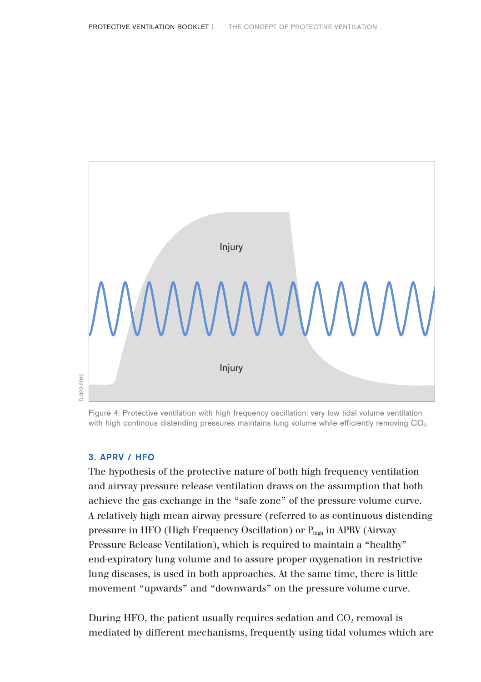

Figure 4: Protective ventilation with high frequency oscillation: very low tidal volume ventilation with high continous distending pressures maintains lung volume while efficiently removing CO<sub>2</sub>.

### 3. APRV / HFO

The hypothesis of the protective nature of both high frequency ventilation and airway pressure release ventilation draws on the assumption that both achieve the gas exchange in the "safe zone" of the pressure volume curve. A relatively high mean airway pressure (referred to as continuous distending pressure in HFO (High Frequency Oscillation) or Phigh in APRV (Airway Pressure Release Ventilation), which is required to maintain a "healthy" end-expiratory lung volume and to assure proper oxygenation in restrictive lung diseases, is used in both approaches. At the same time, there is little movement "upwards" and "downwards" on the pressure volume curve.

During HFO, the patient usually requires sedation and  $CO<sub>2</sub>$  removal is mediated by different mechanisms, frequently using tidal volumes which are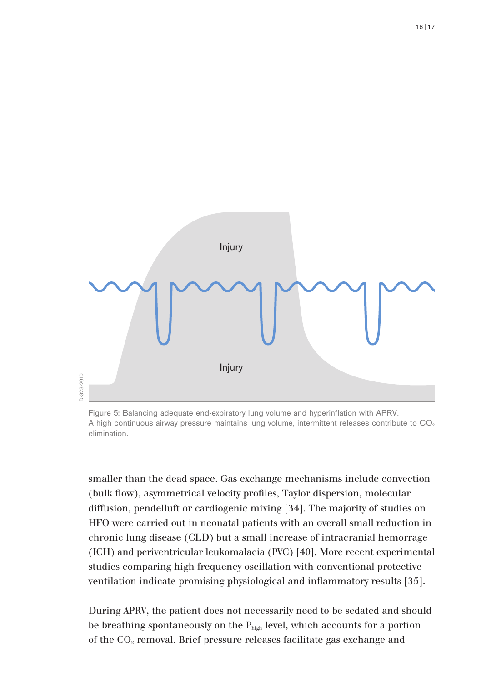

Figure 5: Balancing adequate end-expiratory lung volume and hyperinflation with APRV. A high continuous airway pressure maintains lung volume, intermittent releases contribute to CO<sub>2</sub> elimination.

smaller than the dead space. Gas exchange mechanisms include convection (bulk flow), asymmetrical velocity profiles, Taylor dispersion, molecular diffusion, pendelluft or cardiogenic mixing [34]. The majority of studies on HFO were carried out in neonatal patients with an overall small reduction in chronic lung disease (CLD) but a small increase of intracranial hemorrage (ICH) and periventricular leukomalacia (PVC) [40]. More recent experimental studies comparing high frequency oscillation with conventional protective ventilation indicate promising physiological and inflammatory results [35].

During APRV, the patient does not necessarily need to be sedated and should be breathing spontaneously on the  $P_{high}$  level, which accounts for a portion of the  $CO<sub>2</sub>$  removal. Brief pressure releases facilitate gas exchange and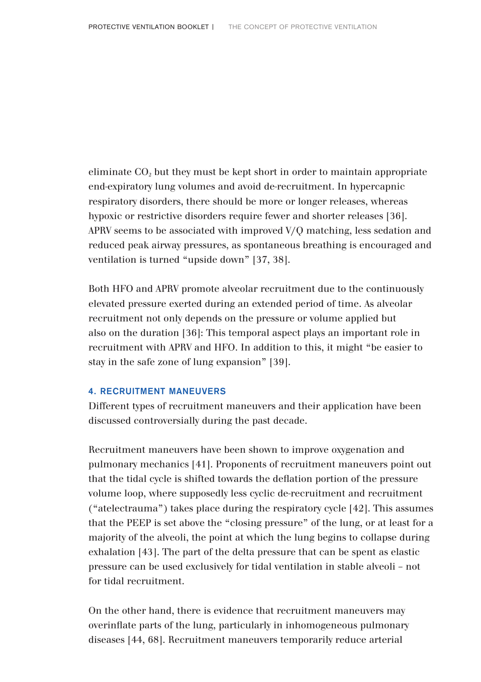eliminate  $CO<sub>2</sub>$  but they must be kept short in order to maintain appropriate end-expiratory lung volumes and avoid de-recruitment. In hypercapnic respiratory disorders, there should be more or longer releases, whereas hypoxic or restrictive disorders require fewer and shorter releases [36]. APRV seems to be associated with improved V/Q matching, less sedation and reduced peak airway pressures, as spontaneous breathing is encouraged and ventilation is turned "upside down" [37, 38].

Both HFO and APRV promote alveolar recruitment due to the continuously elevated pressure exerted during an extended period of time. As alveolar recruitment not only depends on the pressure or volume applied but also on the duration [36]: This temporal aspect plays an important role in recruitment with APRV and HFO. In addition to this, it might "be easier to stay in the safe zone of lung expansion" [39].

### 4. RECRUITMENT MANEUVERS

Different types of recruitment maneuvers and their application have been discussed controversially during the past decade.

Recruitment maneuvers have been shown to improve oxygenation and pulmonary mechanics [41]. Proponents of recruitment maneuvers point out that the tidal cycle is shifted towards the deflation portion of the pressure volume loop, where supposedly less cyclic de-recruitment and recruitment ("atelectrauma") takes place during the respiratory cycle [42]. This assumes that the PEEP is set above the "closing pressure" of the lung, or at least for a majority of the alveoli, the point at which the lung begins to collapse during exhalation [43]. The part of the delta pressure that can be spent as elastic pressure can be used exclusively for tidal ventilation in stable alveoli – not for tidal recruitment.

On the other hand, there is evidence that recruitment maneuvers may overinflate parts of the lung, particularly in inhomogeneous pulmonary diseases [44, 68]. Recruitment maneuvers temporarily reduce arterial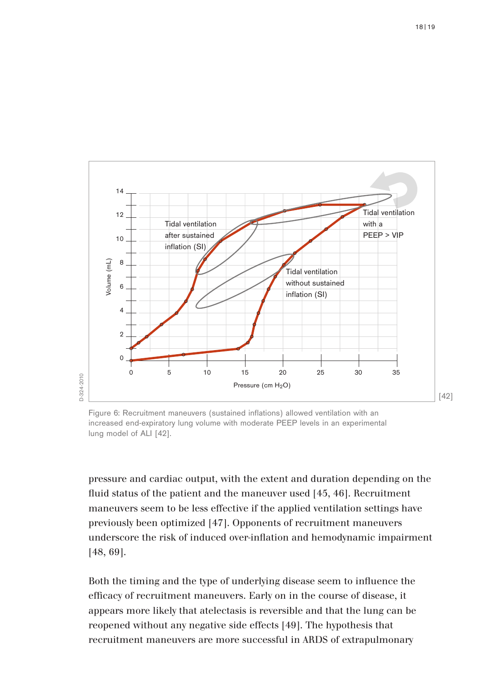

Figure 6: Recruitment maneuvers (sustained inflations) allowed ventilation with an increased end-expiratory lung volume with moderate PEEP levels in an experimental lung model of ALI [42].

pressure and cardiac output, with the extent and duration depending on the fluid status of the patient and the maneuver used [45, 46]. Recruitment maneuvers seem to be less effective if the applied ventilation settings have previously been optimized [47]. Opponents of recruitment maneuvers underscore the risk of induced over-inflation and hemodynamic impairment [48, 69].

Both the timing and the type of underlying disease seem to influence the efficacy of recruitment maneuvers. Early on in the course of disease, it appears more likely that atelectasis is reversible and that the lung can be reopened without any negative side effects [49]. The hypothesis that recruitment maneuvers are more successful in ARDS of extrapulmonary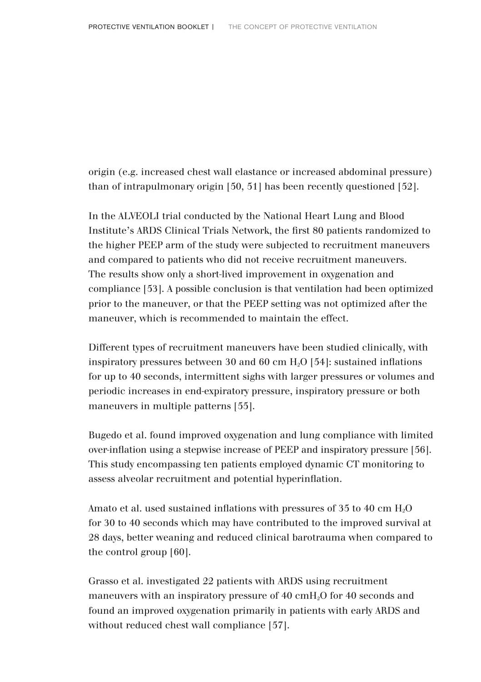origin (e.g. increased chest wall elastance or increased abdominal pressure) than of intrapulmonary origin [50, 51] has been recently questioned [52].

In the ALVEOLI trial conducted by the National Heart Lung and Blood Institute's ARDS Clinical Trials Network, the first 80 patients randomized to the higher PEEP arm of the study were subjected to recruitment maneuvers and compared to patients who did not receive recruitment maneuvers. The results show only a short-lived improvement in oxygenation and compliance [53]. A possible conclusion is that ventilation had been optimized prior to the maneuver, or that the PEEP setting was not optimized after the maneuver, which is recommended to maintain the effect.

Different types of recruitment maneuvers have been studied clinically, with inspiratory pressures between 30 and 60 cm  $H<sub>2</sub>O$  [54]: sustained inflations for up to 40 seconds, intermittent sighs with larger pressures or volumes and periodic increases in end-expiratory pressure, inspiratory pressure or both maneuvers in multiple patterns [55].

Bugedo et al. found improved oxygenation and lung compliance with limited over-inflation using a stepwise increase of PEEP and inspiratory pressure [56]. This study encompassing ten patients employed dynamic CT monitoring to assess alveolar recruitment and potential hyperinflation.

Amato et al. used sustained inflations with pressures of 35 to 40 cm  $H_2O$ for 30 to 40 seconds which may have contributed to the improved survival at 28 days, better weaning and reduced clinical barotrauma when compared to the control group [60].

Grasso et al. investigated 22 patients with ARDS using recruitment maneuvers with an inspiratory pressure of 40 cmH2O for 40 seconds and found an improved oxygenation primarily in patients with early ARDS and without reduced chest wall compliance [57].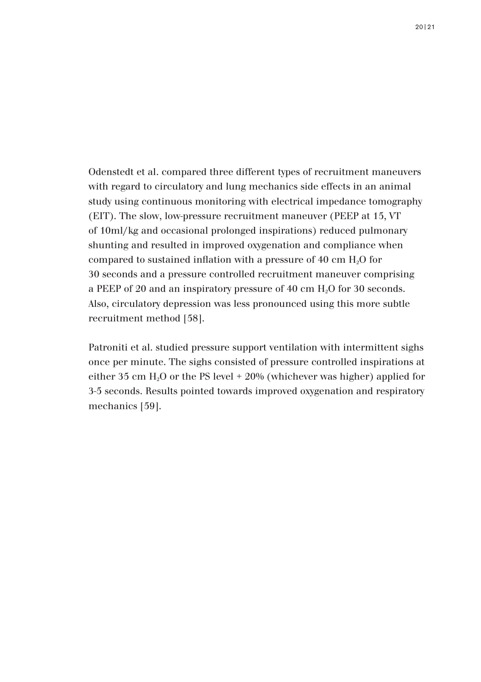Odenstedt et al. compared three different types of recruitment maneuvers with regard to circulatory and lung mechanics side effects in an animal study using continuous monitoring with electrical impedance tomography (EIT). The slow, low-pressure recruitment maneuver (PEEP at 15, VT of 10ml/kg and occasional prolonged inspirations) reduced pulmonary shunting and resulted in improved oxygenation and compliance when compared to sustained inflation with a pressure of 40 cm H2O for 30 seconds and a pressure controlled recruitment maneuver comprising a PEEP of 20 and an inspiratory pressure of 40 cm H<sub>2</sub>O for 30 seconds. Also, circulatory depression was less pronounced using this more subtle recruitment method [58].

Patroniti et al. studied pressure support ventilation with intermittent sighs once per minute. The sighs consisted of pressure controlled inspirations at either 35 cm  $H<sub>2</sub>O$  or the PS level  $+20%$  (whichever was higher) applied for 3-5 seconds. Results pointed towards improved oxygenation and respiratory mechanics [59].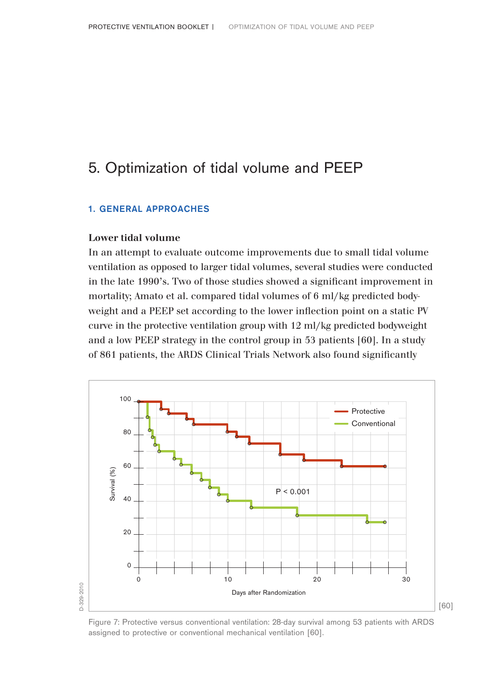# 5. Optimization of tidal volume and PEEP

### 1. GENERAL APPROACHES

### **Lower tidal volume**

In an attempt to evaluate outcome improvements due to small tidal volume ventilation as opposed to larger tidal volumes, several studies were conducted in the late 1990's. Two of those studies showed a significant improvement in mortality; Amato et al. compared tidal volumes of 6 ml/kg predicted bodyweight and a PEEP set according to the lower inflection point on a static PV curve in the protective ventilation group with 12 ml/kg predicted bodyweight and a low PEEP strategy in the control group in 53 patients [60]. In a study of 861 patients, the ARDS Clinical Trials Network also found significantly



Figure 7: Protective versus conventional ventilation: 28-day survival among 53 patients with ARDS assigned to protective or conventional mechanical ventilation [60].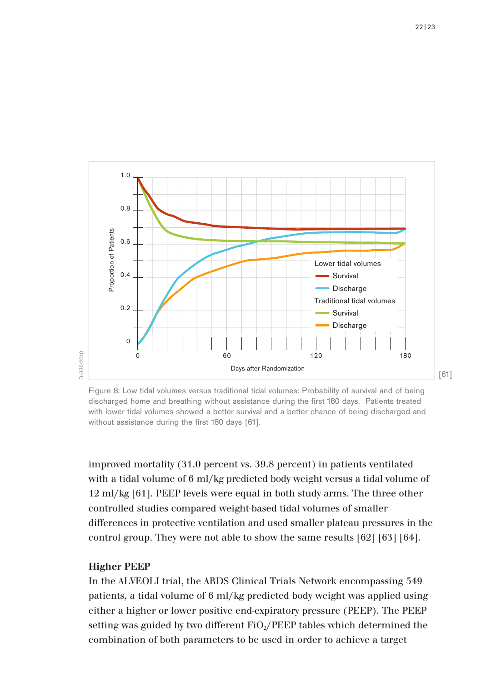

Figure 8: Low tidal volumes versus traditional tidal volumes: Probability of survival and of being discharged home and breathing without assistance during the first 180 days. Patients treated with lower tidal volumes showed a better survival and a better chance of being discharged and without assistance during the first 180 days [61].

improved mortality (31.0 percent vs. 39.8 percent) in patients ventilated with a tidal volume of 6 ml/kg predicted body weight versus a tidal volume of 12 ml/kg [61]. PEEP levels were equal in both study arms. The three other controlled studies compared weight-based tidal volumes of smaller differences in protective ventilation and used smaller plateau pressures in the control group. They were not able to show the same results [62] [63] [64].

#### **Higher PEEP**

In the ALVEOLI trial, the ARDS Clinical Trials Network encompassing 549 patients, a tidal volume of 6 ml/kg predicted body weight was applied using either a higher or lower positive end-expiratory pressure (PEEP). The PEEP setting was guided by two different  $FiO<sub>2</sub>/PEEP$  tables which determined the combination of both parameters to be used in order to achieve a target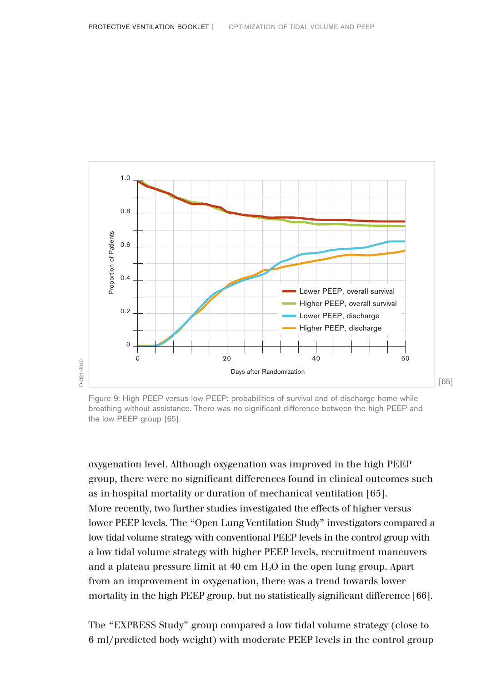

Figure 9: High PEEP versus low PEEP: probabilities of survival and of discharge home while breathing without assistance. There was no significant difference between the high PEEP and the low PEEP group [65].

oxygenation level. Although oxygenation was improved in the high PEEP group, there were no significant differences found in clinical outcomes such as in-hospital mortality or duration of mechanical ventilation [65]. More recently, two further studies investigated the effects of higher versus lower PEEP levels. The "Open Lung Ventilation Study" investigators compared a low tidal volume strategy with conventional PEEP levels in the control group with a low tidal volume strategy with higher PEEP levels, recruitment maneuvers and a plateau pressure limit at  $40 \text{ cm H}_2\text{O}$  in the open lung group. Apart from an improvement in oxygenation, there was a trend towards lower mortality in the high PEEP group, but no statistically significant difference [66].

The "EXPRESS Study" group compared a low tidal volume strategy (close to 6 ml/predicted body weight) with moderate PEEP levels in the control group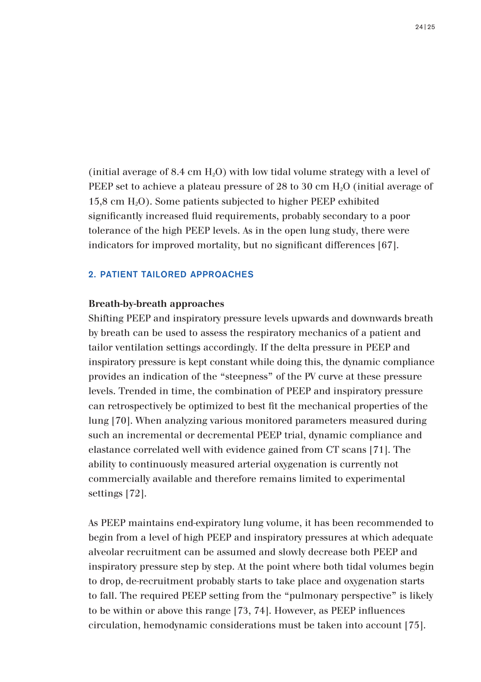(initial average of 8.4 cm  $H_2O$ ) with low tidal volume strategy with a level of PEEP set to achieve a plateau pressure of 28 to 30 cm H2O (initial average of 15,8 cm H2O). Some patients subjected to higher PEEP exhibited significantly increased fluid requirements, probably secondary to a poor tolerance of the high PEEP levels. As in the open lung study, there were indicators for improved mortality, but no significant differences [67].

### 2. PATIENT TAILORED APPROACHES

### **Breath-by-breath approaches**

Shifting PEEP and inspiratory pressure levels upwards and downwards breath by breath can be used to assess the respiratory mechanics of a patient and tailor ventilation settings accordingly. If the delta pressure in PEEP and inspiratory pressure is kept constant while doing this, the dynamic compliance provides an indication of the "steepness" of the PV curve at these pressure levels. Trended in time, the combination of PEEP and inspiratory pressure can retrospectively be optimized to best fit the mechanical properties of the lung [70]. When analyzing various monitored parameters measured during such an incremental or decremental PEEP trial, dynamic compliance and elastance correlated well with evidence gained from CT scans [71]. The ability to continuously measured arterial oxygenation is currently not commercially available and therefore remains limited to experimental settings [72].

As PEEP maintains end-expiratory lung volume, it has been recommended to begin from a level of high PEEP and inspiratory pressures at which adequate alveolar recruitment can be assumed and slowly decrease both PEEP and inspiratory pressure step by step. At the point where both tidal volumes begin to drop, de-recruitment probably starts to take place and oxygenation starts to fall. The required PEEP setting from the "pulmonary perspective" is likely to be within or above this range [73, 74]. However, as PEEP influences circulation, hemodynamic considerations must be taken into account [75].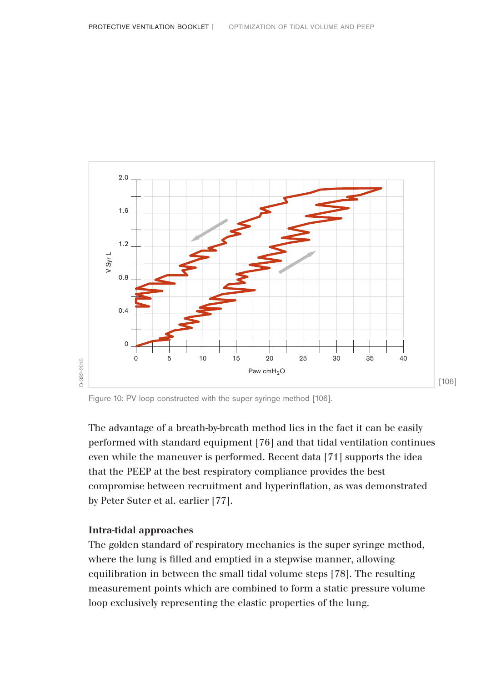

Figure 10: PV loop constructed with the super syringe method [106].

The advantage of a breath-by-breath method lies in the fact it can be easily performed with standard equipment [76] and that tidal ventilation continues even while the maneuver is performed. Recent data [71] supports the idea that the PEEP at the best respiratory compliance provides the best compromise between recruitment and hyperinflation, as was demonstrated by Peter Suter et al. earlier [77].

### **Intra-tidal approaches**

The golden standard of respiratory mechanics is the super syringe method, where the lung is filled and emptied in a stepwise manner, allowing equilibration in between the small tidal volume steps [78]. The resulting measurement points which are combined to form a static pressure volume loop exclusively representing the elastic properties of the lung.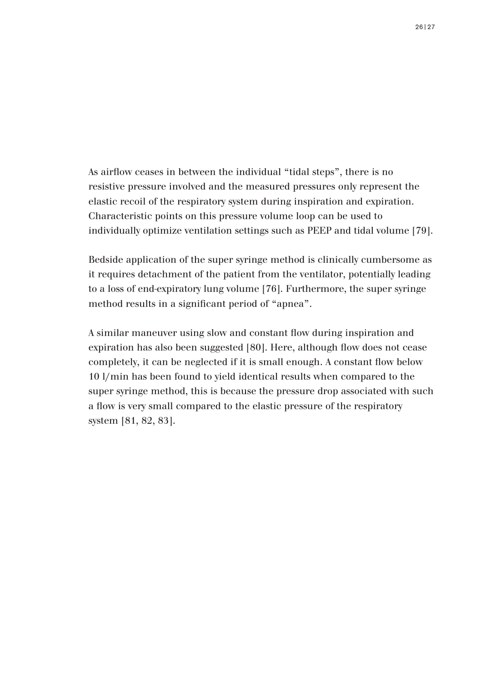As airflow ceases in between the individual "tidal steps", there is no resistive pressure involved and the measured pressures only represent the elastic recoil of the respiratory system during inspiration and expiration. Characteristic points on this pressure volume loop can be used to individually optimize ventilation settings such as PEEP and tidal volume [79].

Bedside application of the super syringe method is clinically cumbersome as it requires detachment of the patient from the ventilator, potentially leading to a loss of end-expiratory lung volume [76]. Furthermore, the super syringe method results in a significant period of "apnea".

A similar maneuver using slow and constant flow during inspiration and expiration has also been suggested [80]. Here, although flow does not cease completely, it can be neglected if it is small enough. A constant flow below 10 l/min has been found to yield identical results when compared to the super syringe method, this is because the pressure drop associated with such a flow is very small compared to the elastic pressure of the respiratory system [81, 82, 83].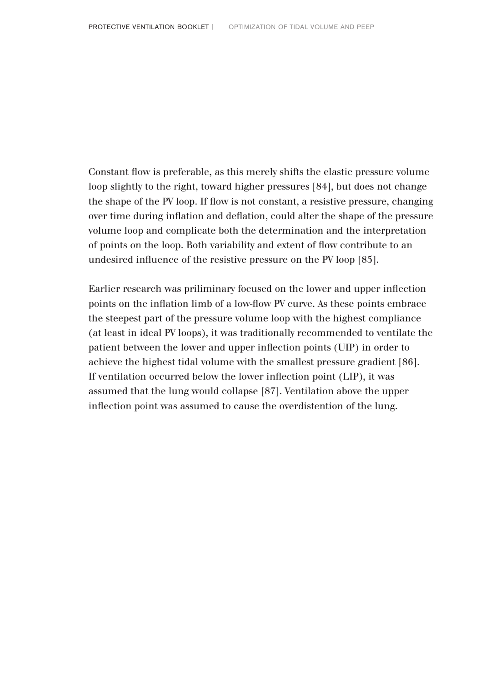Constant flow is preferable, as this merely shifts the elastic pressure volume loop slightly to the right, toward higher pressures [84], but does not change the shape of the PV loop. If flow is not constant, a resistive pressure, changing over time during inflation and deflation, could alter the shape of the pressure volume loop and complicate both the determination and the interpretation of points on the loop. Both variability and extent of flow contribute to an undesired influence of the resistive pressure on the PV loop [85].

Earlier research was priliminary focused on the lower and upper inflection points on the inflation limb of a low-flow PV curve. As these points embrace the steepest part of the pressure volume loop with the highest compliance (at least in ideal PV loops), it was traditionally recommended to ventilate the patient between the lower and upper inflection points (UIP) in order to achieve the highest tidal volume with the smallest pressure gradient [86]. If ventilation occurred below the lower inflection point (LIP), it was assumed that the lung would collapse [87]. Ventilation above the upper inflection point was assumed to cause the overdistention of the lung.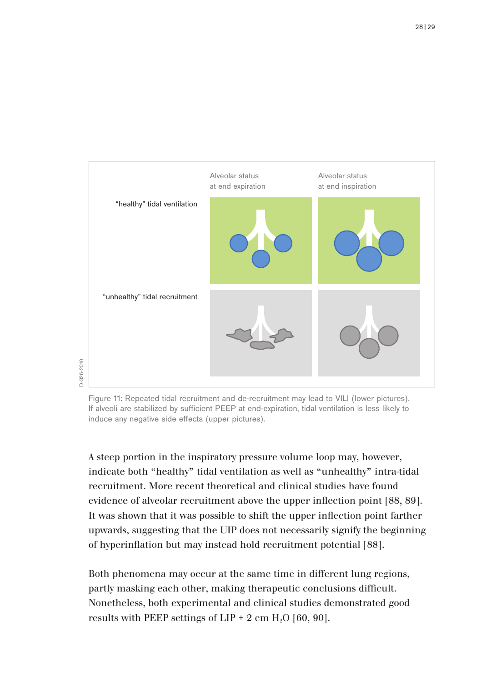

Figure 11: Repeated tidal recruitment and de-recruitment may lead to VILI (lower pictures). If alveoli are stabilized by sufficient PEEP at end-expiration, tidal ventilation is less likely to induce any negative side effects (upper pictures).

A steep portion in the inspiratory pressure volume loop may, however, indicate both "healthy" tidal ventilation as well as "unhealthy" intra-tidal recruitment. More recent theoretical and clinical studies have found evidence of alveolar recruitment above the upper inflection point [88, 89]. It was shown that it was possible to shift the upper inflection point farther upwards, suggesting that the UIP does not necessarily signify the beginning of hyperinflation but may instead hold recruitment potential [88].

Both phenomena may occur at the same time in different lung regions, partly masking each other, making therapeutic conclusions difficult. Nonetheless, both experimental and clinical studies demonstrated good results with PEEP settings of  $LIP + 2$  cm  $H<sub>2</sub>O$  [60, 90].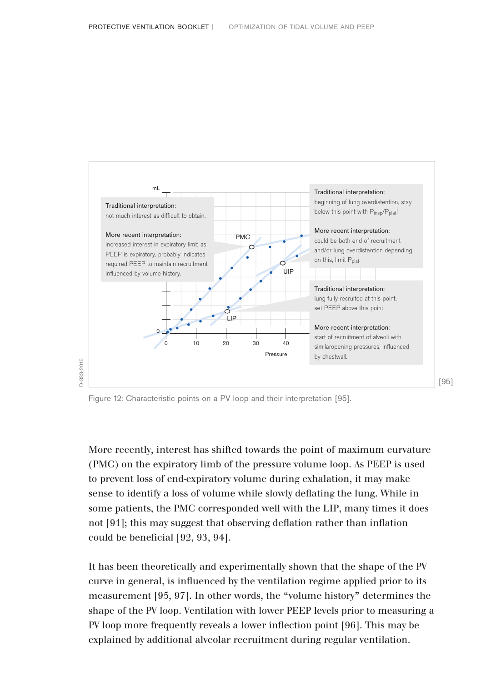

Figure 12: Characteristic points on a PV loop and their interpretation [95].

More recently, interest has shifted towards the point of maximum curvature (PMC) on the expiratory limb of the pressure volume loop. As PEEP is used to prevent loss of end-expiratory volume during exhalation, it may make sense to identify a loss of volume while slowly deflating the lung. While in some patients, the PMC corresponded well with the LIP, many times it does not [91]; this may suggest that observing deflation rather than inflation could be beneficial [92, 93, 94].

It has been theoretically and experimentally shown that the shape of the PV curve in general, is influenced by the ventilation regime applied prior to its measurement [95, 97]. In other words, the "volume history" determines the shape of the PV loop. Ventilation with lower PEEP levels prior to measuring a PV loop more frequently reveals a lower inflection point [96]. This may be explained by additional alveolar recruitment during regular ventilation.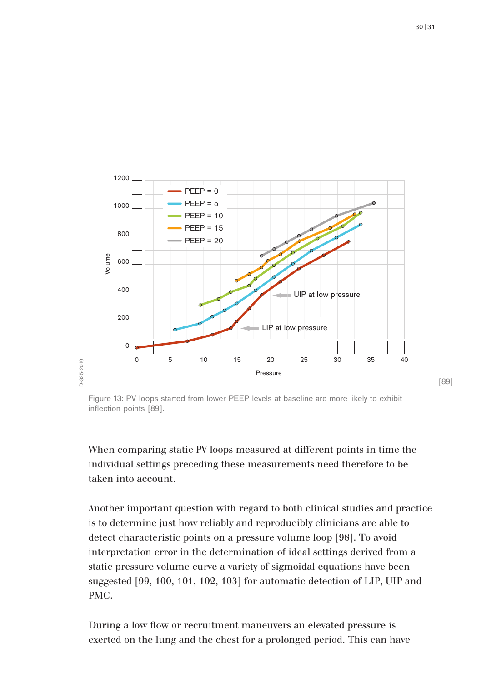

Figure 13: PV loops started from lower PEEP levels at baseline are more likely to exhibit inflection points [89].

When comparing static PV loops measured at different points in time the individual settings preceding these measurements need therefore to be taken into account.

Another important question with regard to both clinical studies and practice is to determine just how reliably and reproducibly clinicians are able to detect characteristic points on a pressure volume loop [98]. To avoid interpretation error in the determination of ideal settings derived from a static pressure volume curve a variety of sigmoidal equations have been suggested [99, 100, 101, 102, 103] for automatic detection of LIP, UIP and PMC.

During a low flow or recruitment maneuvers an elevated pressure is exerted on the lung and the chest for a prolonged period. This can have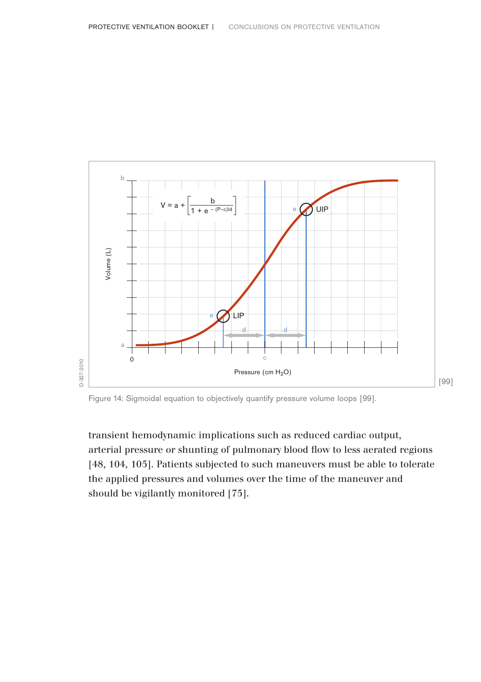

Figure 14: Sigmoidal equation to objectively quantify pressure volume loops [99].

transient hemodynamic implications such as reduced cardiac output, arterial pressure or shunting of pulmonary blood flow to less aerated regions [48, 104, 105]. Patients subjected to such maneuvers must be able to tolerate the applied pressures and volumes over the time of the maneuver and should be vigilantly monitored [75].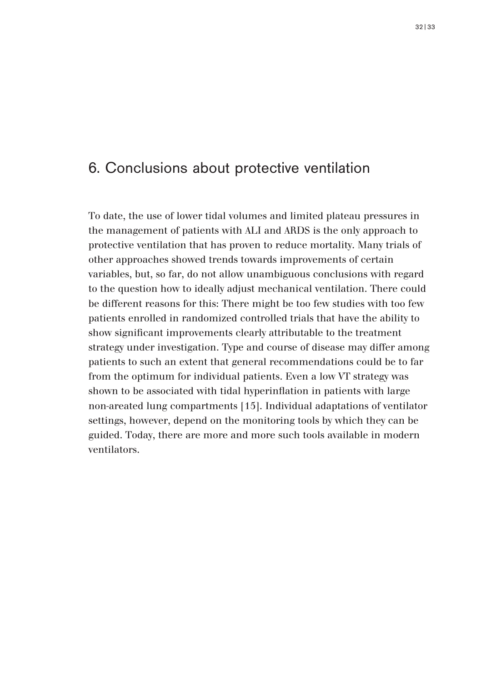# 6. Conclusions about protective ventilation

To date, the use of lower tidal volumes and limited plateau pressures in the management of patients with ALI and ARDS is the only approach to protective ventilation that has proven to reduce mortality. Many trials of other approaches showed trends towards improvements of certain variables, but, so far, do not allow unambiguous conclusions with regard to the question how to ideally adjust mechanical ventilation. There could be different reasons for this: There might be too few studies with too few patients enrolled in randomized controlled trials that have the ability to show significant improvements clearly attributable to the treatment strategy under investigation. Type and course of disease may differ among patients to such an extent that general recommendations could be to far from the optimum for individual patients. Even a low VT strategy was shown to be associated with tidal hyperinflation in patients with large non-areated lung compartments [15]. Individual adaptations of ventilator settings, however, depend on the monitoring tools by which they can be guided. Today, there are more and more such tools available in modern ventilators.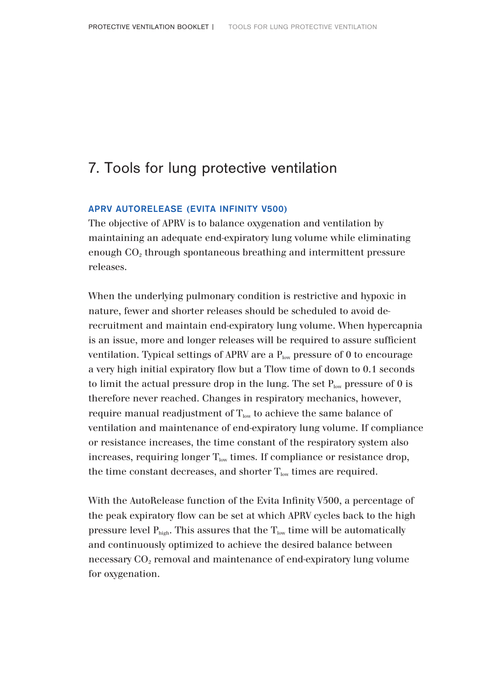# 7. Tools for lung protective ventilation

### APRV AUTORELEASE (EVITA INFINITY V500)

The objective of APRV is to balance oxygenation and ventilation by maintaining an adequate end-expiratory lung volume while eliminating enough CO<sub>2</sub> through spontaneous breathing and intermittent pressure releases.

When the underlying pulmonary condition is restrictive and hypoxic in nature, fewer and shorter releases should be scheduled to avoid derecruitment and maintain end-expiratory lung volume. When hypercapnia is an issue, more and longer releases will be required to assure sufficient ventilation. Typical settings of APRV are a  $P_{low}$  pressure of 0 to encourage a very high initial expiratory flow but a Tlow time of down to 0.1 seconds to limit the actual pressure drop in the lung. The set  $P_{low}$  pressure of 0 is therefore never reached. Changes in respiratory mechanics, however, require manual readjustment of  $T_{\text{low}}$  to achieve the same balance of ventilation and maintenance of end-expiratory lung volume. If compliance or resistance increases, the time constant of the respiratory system also increases, requiring longer  $T_{low}$  times. If compliance or resistance drop, the time constant decreases, and shorter  $T_{\text{low}}$  times are required.

With the AutoRelease function of the Evita Infinity V500, a percentage of the peak expiratory flow can be set at which APRV cycles back to the high pressure level  $P_{\text{high}}$ . This assures that the  $T_{\text{low}}$  time will be automatically and continuously optimized to achieve the desired balance between necessary CO<sub>2</sub> removal and maintenance of end-expiratory lung volume for oxygenation.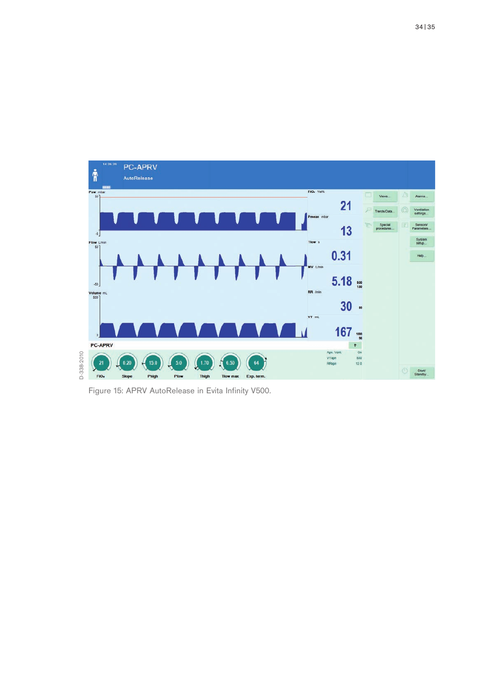

Figure 15: APRV AutoRelease in Evita Infinity V500.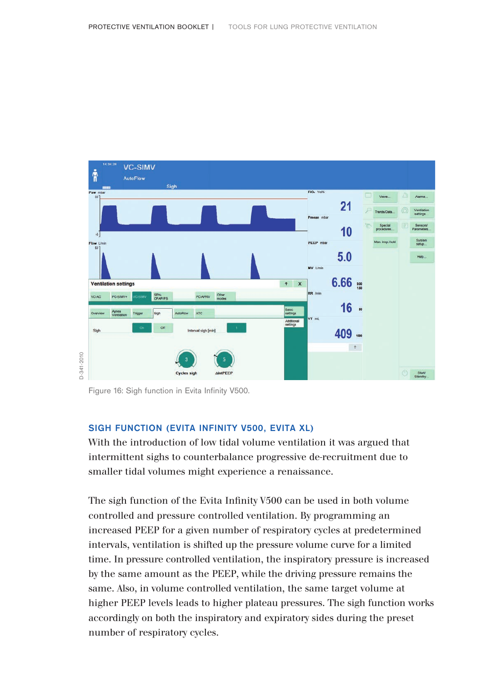

Figure 16: Sigh function in Evita Infinity V500.

### SIGH FUNCTION (EVITA INFINITY V500, EVITA XL)

With the introduction of low tidal volume ventilation it was argued that intermittent sighs to counterbalance progressive de-recruitment due to smaller tidal volumes might experience a renaissance.

The sigh function of the Evita Infinity V500 can be used in both volume controlled and pressure controlled ventilation. By programming an increased PEEP for a given number of respiratory cycles at predetermined intervals, ventilation is shifted up the pressure volume curve for a limited time. In pressure controlled ventilation, the inspiratory pressure is increased by the same amount as the PEEP, while the driving pressure remains the same. Also, in volume controlled ventilation, the same target volume at higher PEEP levels leads to higher plateau pressures. The sigh function works accordingly on both the inspiratory and expiratory sides during the preset number of respiratory cycles.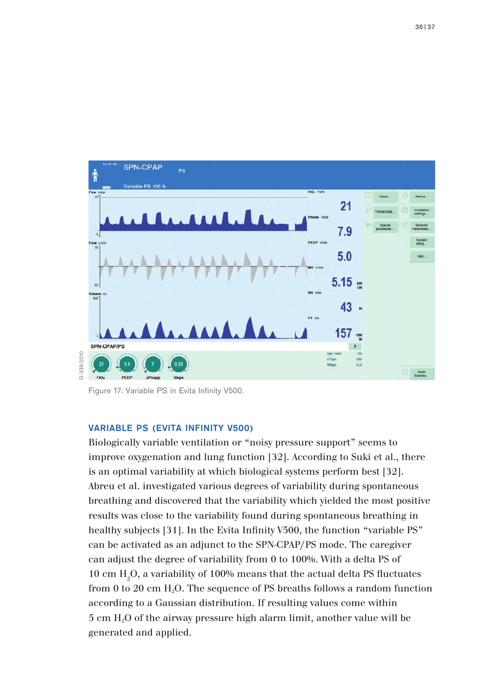

Figure 17: Variable PS in Evita Infinity V500.

### VARIABLE PS (EVITA INFINITY V500)

Biologically variable ventilation or "noisy pressure support" seems to improve oxygenation and lung function [32]. According to Suki et al., there is an optimal variability at which biological systems perform best [32]. Abreu et al. investigated various degrees of variability during spontaneous breathing and discovered that the variability which yielded the most positive results was close to the variability found during spontaneous breathing in healthy subjects [31]. In the Evita Infinity V500, the function "variable PS" can be activated as an adjunct to the SPN-CPAP/PS mode. The caregiver can adjust the degree of variability from 0 to 100%. With a delta PS of 10 cm  $\rm H_2O$ , a variability of 100% means that the actual delta PS fluctuates from 0 to 20 cm  $H_2O$ . The sequence of PS breaths follows a random function according to a Gaussian distribution. If resulting values come within 5 cm H2O of the airway pressure high alarm limit, another value will be generated and applied.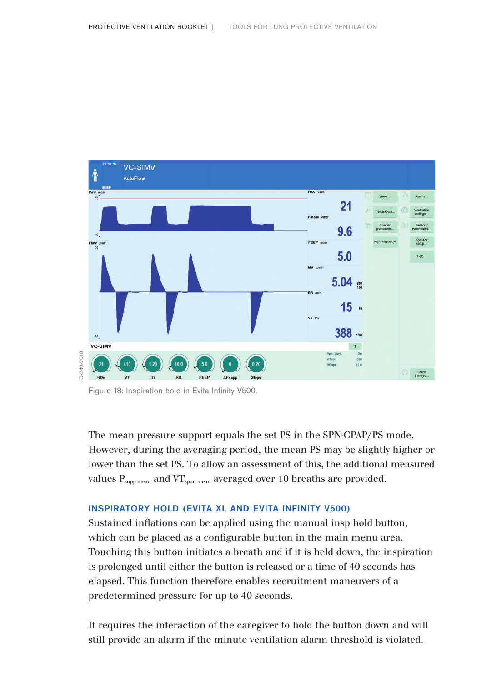

Figure 18: Inspiration hold in Evita Infinity V500.

The mean pressure support equals the set PS in the SPN-CPAP/PS mode. However, during the averaging period, the mean PS may be slightly higher or lower than the set PS. To allow an assessment of this, the additional measured values  $P_{\text{subm mean}}$  and  $VT_{\text{spon mean}}$  averaged over 10 breaths are provided.

## INSPIRATORY HOLD (EVITA XL AND EVITA INFINITY V500)

Sustained inflations can be applied using the manual insp hold button, which can be placed as a configurable button in the main menu area. Touching this button initiates a breath and if it is held down, the inspiration is prolonged until either the button is released or a time of 40 seconds has elapsed. This function therefore enables recruitment maneuvers of a predetermined pressure for up to 40 seconds.

It requires the interaction of the caregiver to hold the button down and will still provide an alarm if the minute ventilation alarm threshold is violated.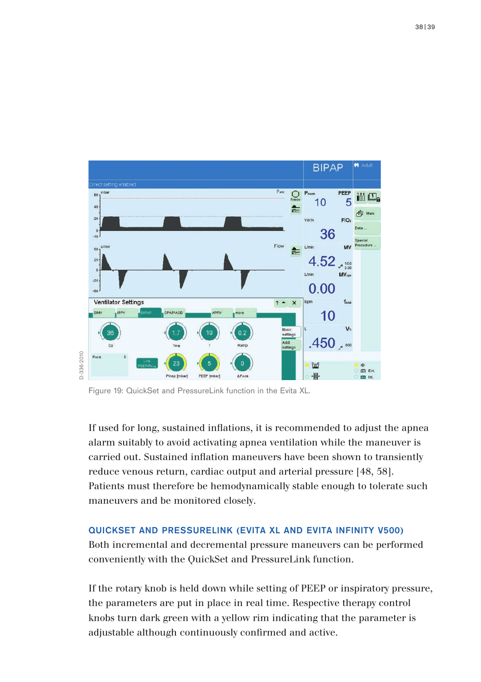

Figure 19: QuickSet and PressureLink function in the Evita XL.

If used for long, sustained inflations, it is recommended to adjust the apnea alarm suitably to avoid activating apnea ventilation while the maneuver is carried out. Sustained inflation maneuvers have been shown to transiently reduce venous return, cardiac output and arterial pressure [48, 58]. Patients must therefore be hemodynamically stable enough to tolerate such maneuvers and be monitored closely.

### QUICKSET AND PRESSURELINK (EVITA XL AND EVITA INFINITY V500)

Both incremental and decremental pressure maneuvers can be performed conveniently with the QuickSet and PressureLink function.

If the rotary knob is held down while setting of PEEP or inspiratory pressure, the parameters are put in place in real time. Respective therapy control knobs turn dark green with a yellow rim indicating that the parameter is adjustable although continuously confirmed and active.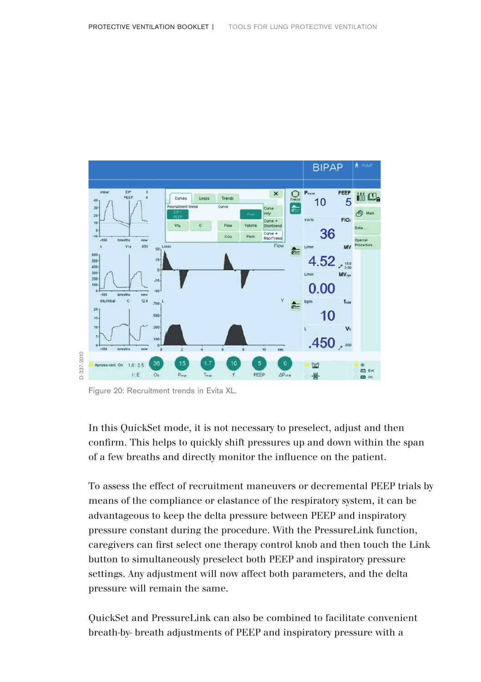

Figure 20: Recruitment trends in Evita XL.

In this QuickSet mode, it is not necessary to preselect, adjust and then confirm. This helps to quickly shift pressures up and down within the span of a few breaths and directly monitor the influence on the patient.

To assess the effect of recruitment maneuvers or decremental PEEP trials by means of the compliance or elastance of the respiratory system, it can be advantageous to keep the delta pressure between PEEP and inspiratory pressure constant during the procedure. With the PressureLink function, caregivers can first select one therapy control knob and then touch the Link button to simultaneously preselect both PEEP and inspiratory pressure settings. Any adjustment will now affect both parameters, and the delta pressure will remain the same.

QuickSet and PressureLink can also be combined to facilitate convenient breath-by- breath adjustments of PEEP and inspiratory pressure with a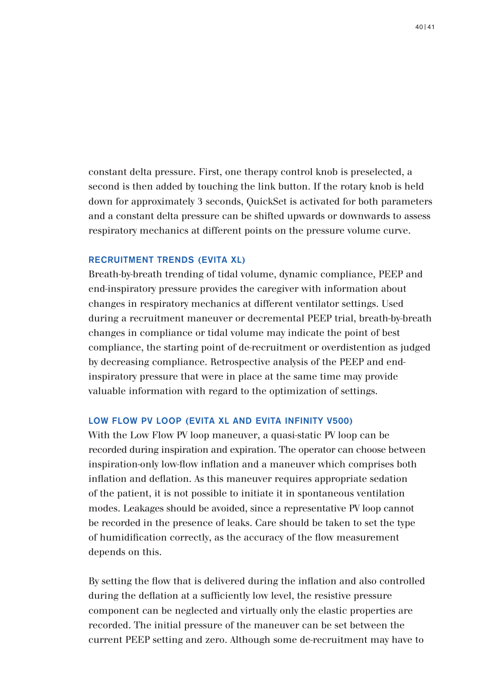constant delta pressure. First, one therapy control knob is preselected, a second is then added by touching the link button. If the rotary knob is held down for approximately 3 seconds, QuickSet is activated for both parameters and a constant delta pressure can be shifted upwards or downwards to assess respiratory mechanics at different points on the pressure volume curve.

### RECRUITMENT TRENDS (EVITA XL)

Breath-by-breath trending of tidal volume, dynamic compliance, PEEP and end-inspiratory pressure provides the caregiver with information about changes in respiratory mechanics at different ventilator settings. Used during a recruitment maneuver or decremental PEEP trial, breath-by-breath changes in compliance or tidal volume may indicate the point of best compliance, the starting point of de-recruitment or overdistention as judged by decreasing compliance. Retrospective analysis of the PEEP and endinspiratory pressure that were in place at the same time may provide valuable information with regard to the optimization of settings.

### LOW FLOW PV LOOP (EVITA XL AND EVITA INFINITY V500)

With the Low Flow PV loop maneuver, a quasi-static PV loop can be recorded during inspiration and expiration. The operator can choose between inspiration-only low-flow inflation and a maneuver which comprises both inflation and deflation. As this maneuver requires appropriate sedation of the patient, it is not possible to initiate it in spontaneous ventilation modes. Leakages should be avoided, since a representative PV loop cannot be recorded in the presence of leaks. Care should be taken to set the type of humidification correctly, as the accuracy of the flow measurement depends on this.

By setting the flow that is delivered during the inflation and also controlled during the deflation at a sufficiently low level, the resistive pressure component can be neglected and virtually only the elastic properties are recorded. The initial pressure of the maneuver can be set between the current PEEP setting and zero. Although some de-recruitment may have to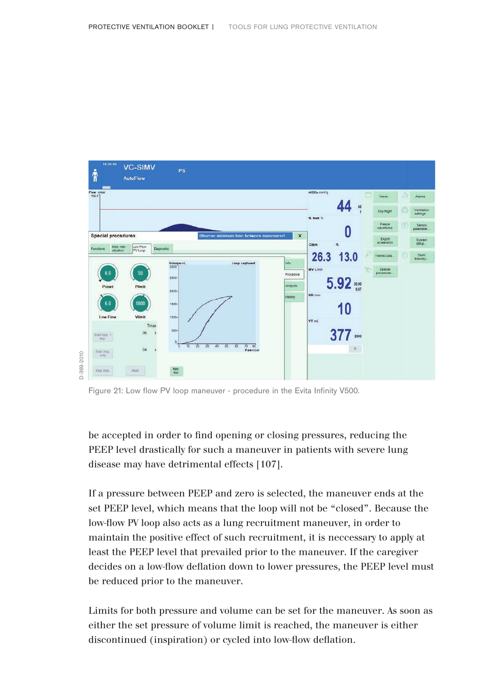

Figure 21: Low flow PV loop maneuver - procedure in the Evita Infinity V500.

be accepted in order to find opening or closing pressures, reducing the PEEP level drastically for such a maneuver in patients with severe lung disease may have detrimental effects [107].

If a pressure between PEEP and zero is selected, the maneuver ends at the set PEEP level, which means that the loop will not be "closed". Because the low-flow PV loop also acts as a lung recruitment maneuver, in order to maintain the positive effect of such recruitment, it is neccessary to apply at least the PEEP level that prevailed prior to the maneuver. If the caregiver decides on a low-flow deflation down to lower pressures, the PEEP level must be reduced prior to the maneuver.

Limits for both pressure and volume can be set for the maneuver. As soon as either the set pressure of volume limit is reached, the maneuver is either discontinued (inspiration) or cycled into low-flow deflation.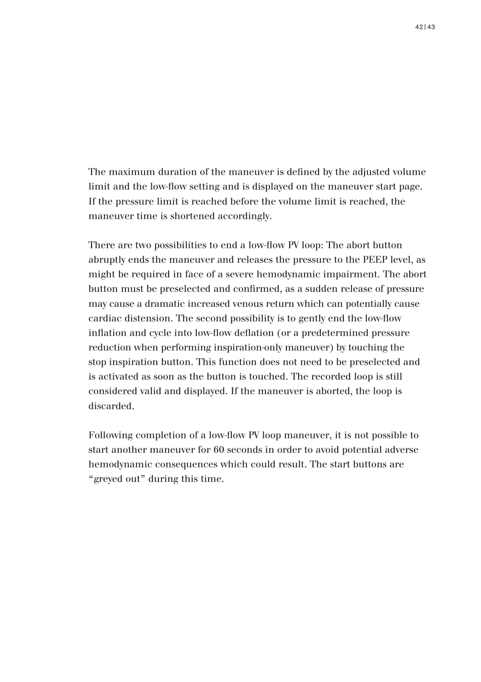The maximum duration of the maneuver is defined by the adjusted volume limit and the low-flow setting and is displayed on the maneuver start page. If the pressure limit is reached before the volume limit is reached, the maneuver time is shortened accordingly.

There are two possibilities to end a low-flow PV loop: The abort button abruptly ends the maneuver and releases the pressure to the PEEP level, as might be required in face of a severe hemodynamic impairment. The abort button must be preselected and confirmed, as a sudden release of pressure may cause a dramatic increased venous return which can potentially cause cardiac distension. The second possibility is to gently end the low-flow inflation and cycle into low-flow deflation (or a predetermined pressure reduction when performing inspiration-only maneuver) by touching the stop inspiration button. This function does not need to be preselected and is activated as soon as the button is touched. The recorded loop is still considered valid and displayed. If the maneuver is aborted, the loop is discarded.

Following completion of a low-flow PV loop maneuver, it is not possible to start another maneuver for 60 seconds in order to avoid potential adverse hemodynamic consequences which could result. The start buttons are "greyed out" during this time.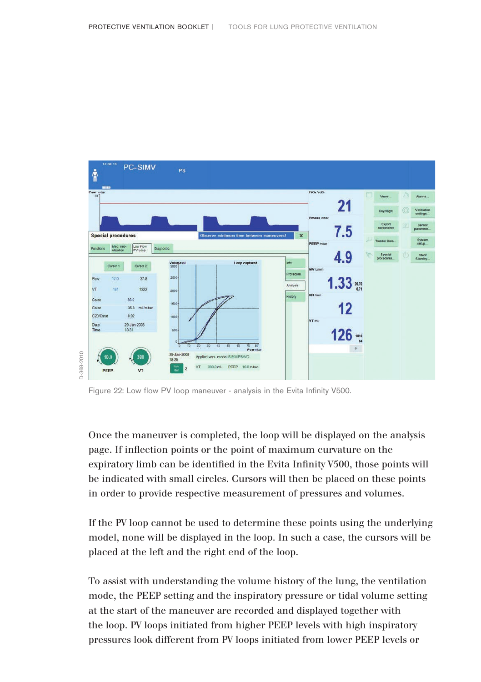

Figure 22: Low flow PV loop maneuver - analysis in the Evita Infinity V500.

Once the maneuver is completed, the loop will be displayed on the analysis page. If inflection points or the point of maximum curvature on the expiratory limb can be identified in the Evita Infinity V500, those points will be indicated with small circles. Cursors will then be placed on these points in order to provide respective measurement of pressures and volumes.

If the PV loop cannot be used to determine these points using the underlying model, none will be displayed in the loop. In such a case, the cursors will be placed at the left and the right end of the loop.

To assist with understanding the volume history of the lung, the ventilation mode, the PEEP setting and the inspiratory pressure or tidal volume setting at the start of the maneuver are recorded and displayed together with the loop. PV loops initiated from higher PEEP levels with high inspiratory pressures look different from PV loops initiated from lower PEEP levels or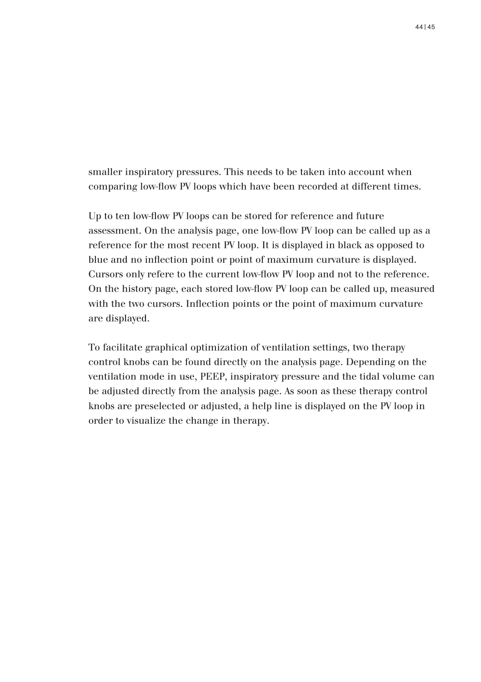smaller inspiratory pressures. This needs to be taken into account when comparing low-flow PV loops which have been recorded at different times.

Up to ten low-flow PV loops can be stored for reference and future assessment. On the analysis page, one low-flow PV loop can be called up as a reference for the most recent PV loop. It is displayed in black as opposed to blue and no inflection point or point of maximum curvature is displayed. Cursors only refere to the current low-flow PV loop and not to the reference. On the history page, each stored low-flow PV loop can be called up, measured with the two cursors. Inflection points or the point of maximum curvature are displayed.

To facilitate graphical optimization of ventilation settings, two therapy control knobs can be found directly on the analysis page. Depending on the ventilation mode in use, PEEP, inspiratory pressure and the tidal volume can be adjusted directly from the analysis page. As soon as these therapy control knobs are preselected or adjusted, a help line is displayed on the PV loop in order to visualize the change in therapy.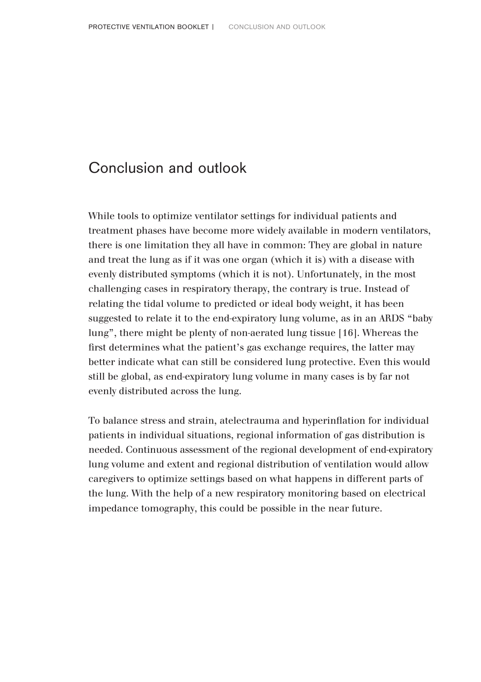# Conclusion and outlook

While tools to optimize ventilator settings for individual patients and treatment phases have become more widely available in modern ventilators, there is one limitation they all have in common: They are global in nature and treat the lung as if it was one organ (which it is) with a disease with evenly distributed symptoms (which it is not). Unfortunately, in the most challenging cases in respiratory therapy, the contrary is true. Instead of relating the tidal volume to predicted or ideal body weight, it has been suggested to relate it to the end-expiratory lung volume, as in an ARDS "baby lung", there might be plenty of non-aerated lung tissue [16]. Whereas the first determines what the patient's gas exchange requires, the latter may better indicate what can still be considered lung protective. Even this would still be global, as end-expiratory lung volume in many cases is by far not evenly distributed across the lung.

To balance stress and strain, atelectrauma and hyperinflation for individual patients in individual situations, regional information of gas distribution is needed. Continuous assessment of the regional development of end-expiratory lung volume and extent and regional distribution of ventilation would allow caregivers to optimize settings based on what happens in different parts of the lung. With the help of a new respiratory monitoring based on electrical impedance tomography, this could be possible in the near future.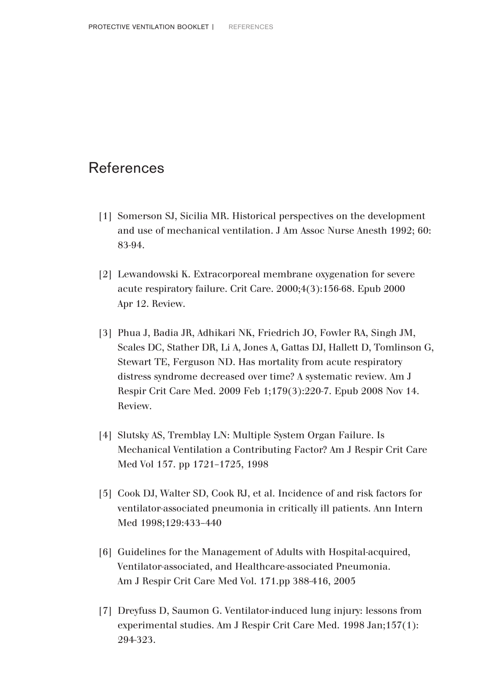# References

- [1] Somerson SJ, Sicilia MR. Historical perspectives on the development and use of mechanical ventilation. J Am Assoc Nurse Anesth 1992; 60: 83-94.
- [2] Lewandowski K. Extracorporeal membrane oxygenation for severe acute respiratory failure. Crit Care. 2000;4(3):156-68. Epub 2000 Apr 12. Review.
- [3] Phua J, Badia JR, Adhikari NK, Friedrich JO, Fowler RA, Singh JM, Scales DC, Stather DR, Li A, Jones A, Gattas DJ, Hallett D, Tomlinson G, Stewart TE, Ferguson ND. Has mortality from acute respiratory distress syndrome decreased over time? A systematic review. Am J Respir Crit Care Med. 2009 Feb 1;179(3):220-7. Epub 2008 Nov 14. Review.
- [4] Slutsky AS, Tremblay LN: Multiple System Organ Failure. Is Mechanical Ventilation a Contributing Factor? Am J Respir Crit Care Med Vol 157. pp 1721–1725, 1998
- [5] Cook DJ, Walter SD, Cook RJ, et al. Incidence of and risk factors for ventilator-associated pneumonia in critically ill patients. Ann Intern Med 1998;129:433–440
- [6] Guidelines for the Management of Adults with Hospital-acquired, Ventilator-associated, and Healthcare-associated Pneumonia. Am J Respir Crit Care Med Vol. 171.pp 388-416, 2005
- [7] Dreyfuss D, Saumon G. Ventilator-induced lung injury: lessons from experimental studies. Am J Respir Crit Care Med. 1998 Jan;157(1): 294-323.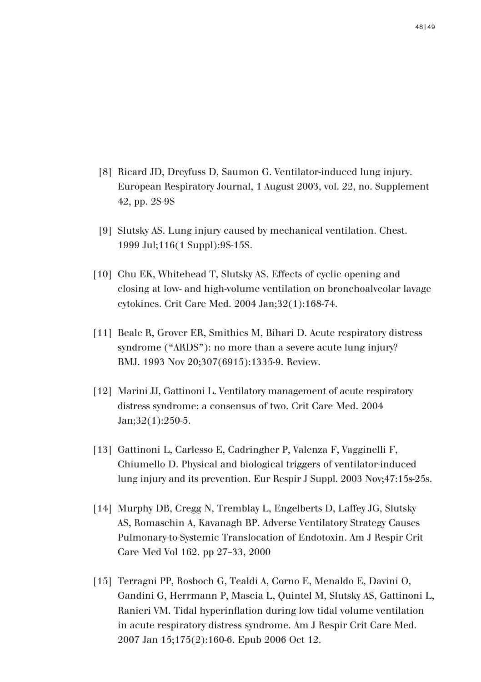- [8] Ricard JD, Dreyfuss D, Saumon G. Ventilator-induced lung injury. European Respiratory Journal, 1 August 2003, vol. 22, no. Supplement 42, pp. 2S-9S
- [9] Slutsky AS. Lung injury caused by mechanical ventilation. Chest. 1999 Jul;116(1 Suppl):9S-15S.
- [10] Chu EK, Whitehead T, Slutsky AS. Effects of cyclic opening and closing at low- and high-volume ventilation on bronchoalveolar lavage cytokines. Crit Care Med. 2004 Jan;32(1):168-74.
- [11] Beale R, Grover ER, Smithies M, Bihari D. Acute respiratory distress syndrome ("ARDS"): no more than a severe acute lung injury? BMJ. 1993 Nov 20;307(6915):1335-9. Review.
- [12] Marini JJ, Gattinoni L. Ventilatory management of acute respiratory distress syndrome: a consensus of two. Crit Care Med. 2004 Jan;32(1):250-5.
- [13] Gattinoni L, Carlesso E, Cadringher P, Valenza F, Vagginelli F, Chiumello D. Physical and biological triggers of ventilator-induced lung injury and its prevention. Eur Respir J Suppl. 2003 Nov;47:15s-25s.
- [14] Murphy DB, Cregg N, Tremblay L, Engelberts D, Laffey JG, Slutsky AS, Romaschin A, Kavanagh BP. Adverse Ventilatory Strategy Causes Pulmonary-to-Systemic Translocation of Endotoxin. Am J Respir Crit Care Med Vol 162. pp 27–33, 2000
- [15] Terragni PP, Rosboch G, Tealdi A, Corno E, Menaldo E, Davini O, Gandini G, Herrmann P, Mascia L, Quintel M, Slutsky AS, Gattinoni L, Ranieri VM. Tidal hyperinflation during low tidal volume ventilation in acute respiratory distress syndrome. Am J Respir Crit Care Med. 2007 Jan 15;175(2):160-6. Epub 2006 Oct 12.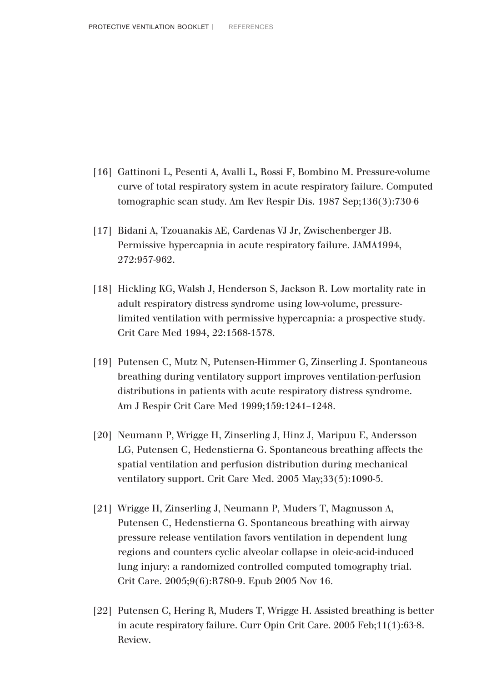- [16] Gattinoni L, Pesenti A, Avalli L, Rossi F, Bombino M. Pressure-volume curve of total respiratory system in acute respiratory failure. Computed tomographic scan study. Am Rev Respir Dis. 1987 Sep;136(3):730-6
- [17] Bidani A, Tzouanakis AE, Cardenas VJ Jr, Zwischenberger JB. Permissive hypercapnia in acute respiratory failure. JAMA1994, 272:957-962.
- [18] Hickling KG, Walsh J, Henderson S, Jackson R. Low mortality rate in adult respiratory distress syndrome using low-volume, pressurelimited ventilation with permissive hypercapnia: a prospective study. Crit Care Med 1994, 22:1568-1578.
- [19] Putensen C, Mutz N, Putensen-Himmer G, Zinserling J. Spontaneous breathing during ventilatory support improves ventilation-perfusion distributions in patients with acute respiratory distress syndrome. Am J Respir Crit Care Med 1999;159:1241–1248.
- [20] Neumann P, Wrigge H, Zinserling J, Hinz J, Maripuu E, Andersson LG, Putensen C, Hedenstierna G. Spontaneous breathing affects the spatial ventilation and perfusion distribution during mechanical ventilatory support. Crit Care Med. 2005 May;33(5):1090-5.
- [21] Wrigge H, Zinserling J, Neumann P, Muders T, Magnusson A, Putensen C, Hedenstierna G. Spontaneous breathing with airway pressure release ventilation favors ventilation in dependent lung regions and counters cyclic alveolar collapse in oleic-acid-induced lung injury: a randomized controlled computed tomography trial. Crit Care. 2005;9(6):R780-9. Epub 2005 Nov 16.
- [22] Putensen C, Hering R, Muders T, Wrigge H. Assisted breathing is better in acute respiratory failure. Curr Opin Crit Care. 2005 Feb;11(1):63-8. Review.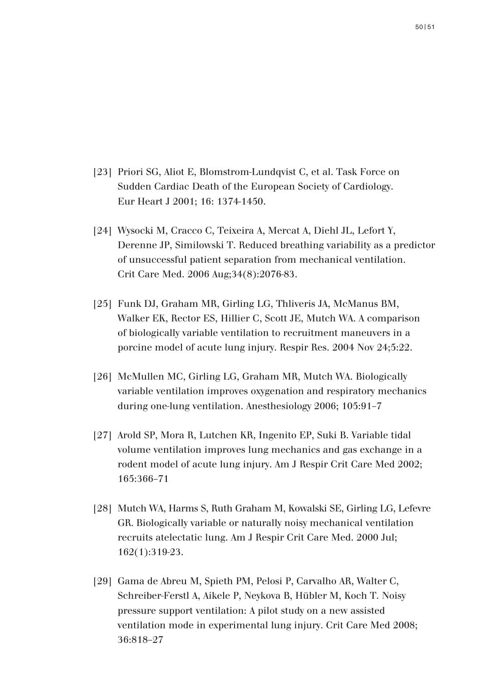- [23] Priori SG, Aliot E, Blomstrom-Lundqvist C, et al. Task Force on Sudden Cardiac Death of the European Society of Cardiology. Eur Heart J 2001; 16: 1374-1450.
- [24] Wysocki M, Cracco C, Teixeira A, Mercat A, Diehl JL, Lefort Y, Derenne JP, Similowski T. Reduced breathing variability as a predictor of unsuccessful patient separation from mechanical ventilation. Crit Care Med. 2006 Aug;34(8):2076-83.
- [25] Funk DJ, Graham MR, Girling LG, Thliveris JA, McManus BM, Walker EK, Rector ES, Hillier C, Scott JE, Mutch WA. A comparison of biologically variable ventilation to recruitment maneuvers in a porcine model of acute lung injury. Respir Res. 2004 Nov 24;5:22.
- [26] McMullen MC, Girling LG, Graham MR, Mutch WA. Biologically variable ventilation improves oxygenation and respiratory mechanics during one-lung ventilation. Anesthesiology 2006; 105:91–7
- [27] Arold SP, Mora R, Lutchen KR, Ingenito EP, Suki B. Variable tidal volume ventilation improves lung mechanics and gas exchange in a rodent model of acute lung injury. Am J Respir Crit Care Med 2002; 165:366–71
- [28] Mutch WA, Harms S, Ruth Graham M, Kowalski SE, Girling LG, Lefevre GR. Biologically variable or naturally noisy mechanical ventilation recruits atelectatic lung. Am J Respir Crit Care Med. 2000 Jul; 162(1):319-23.
- [29] Gama de Abreu M, Spieth PM, Pelosi P, Carvalho AR, Walter C, Schreiber-Ferstl A, Aikele P, Neykova B, Hübler M, Koch T. Noisy pressure support ventilation: A pilot study on a new assisted ventilation mode in experimental lung injury. Crit Care Med 2008; 36:818–27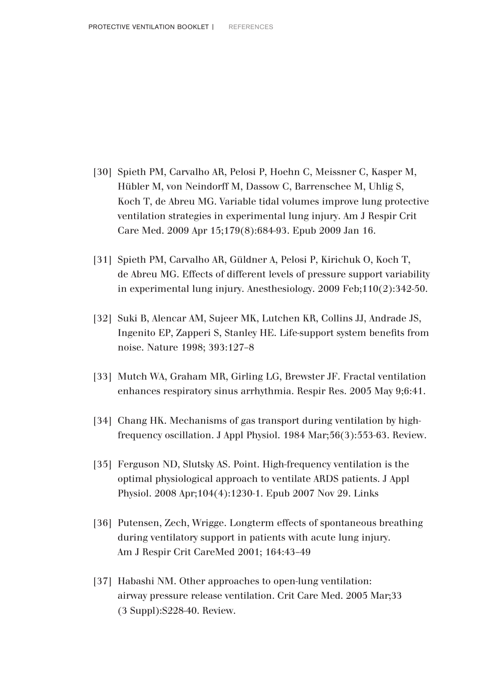- [30] Spieth PM, Carvalho AR, Pelosi P, Hoehn C, Meissner C, Kasper M, Hübler M, von Neindorff M, Dassow C, Barrenschee M, Uhlig S, Koch T, de Abreu MG. Variable tidal volumes improve lung protective ventilation strategies in experimental lung injury. Am J Respir Crit Care Med. 2009 Apr 15;179(8):684-93. Epub 2009 Jan 16.
- [31] Spieth PM, Carvalho AR, Güldner A, Pelosi P, Kirichuk O, Koch T, de Abreu MG. Effects of different levels of pressure support variability in experimental lung injury. Anesthesiology. 2009 Feb;110(2):342-50.
- [32] Suki B, Alencar AM, Sujeer MK, Lutchen KR, Collins JJ, Andrade JS, Ingenito EP, Zapperi S, Stanley HE. Life-support system benefits from noise. Nature 1998; 393:127–8
- [33] Mutch WA, Graham MR, Girling LG, Brewster JF. Fractal ventilation enhances respiratory sinus arrhythmia. Respir Res. 2005 May 9;6:41.
- [34] Chang HK. Mechanisms of gas transport during ventilation by highfrequency oscillation. J Appl Physiol. 1984 Mar;56(3):553-63. Review.
- [35] Ferguson ND, Slutsky AS. Point. High-frequency ventilation is the optimal physiological approach to ventilate ARDS patients. J Appl Physiol. 2008 Apr;104(4):1230-1. Epub 2007 Nov 29. Links
- [36] Putensen, Zech, Wrigge. Longterm effects of spontaneous breathing during ventilatory support in patients with acute lung injury. Am J Respir Crit CareMed 2001; 164:43–49
- [37] Habashi NM. Other approaches to open-lung ventilation: airway pressure release ventilation. Crit Care Med. 2005 Mar;33 (3 Suppl):S228-40. Review.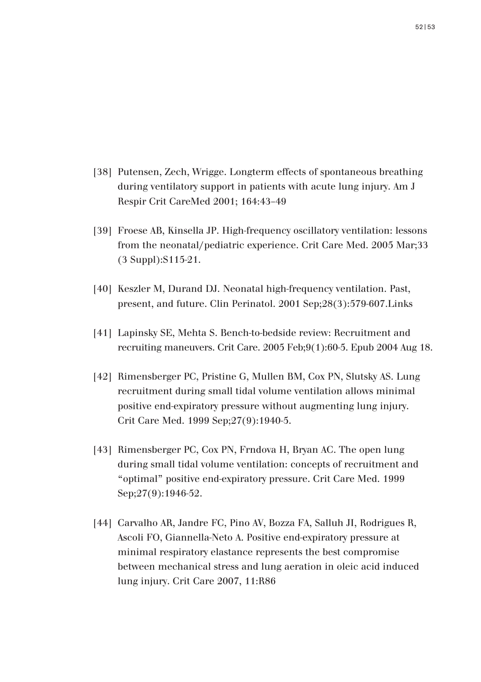- [38] Putensen, Zech, Wrigge. Longterm effects of spontaneous breathing during ventilatory support in patients with acute lung injury. Am J Respir Crit CareMed 2001; 164:43–49
- [39] Froese AB, Kinsella JP. High-frequency oscillatory ventilation: lessons from the neonatal/pediatric experience. Crit Care Med. 2005 Mar;33 (3 Suppl):S115-21.
- [40] Keszler M, Durand DJ. Neonatal high-frequency ventilation. Past, present, and future. Clin Perinatol. 2001 Sep;28(3):579-607.Links
- [41] Lapinsky SE, Mehta S. Bench-to-bedside review: Recruitment and recruiting maneuvers. Crit Care. 2005 Feb;9(1):60-5. Epub 2004 Aug 18.
- [42] Rimensberger PC, Pristine G, Mullen BM, Cox PN, Slutsky AS. Lung recruitment during small tidal volume ventilation allows minimal positive end-expiratory pressure without augmenting lung injury. Crit Care Med. 1999 Sep;27(9):1940-5.
- [43] Rimensberger PC, Cox PN, Frndova H, Bryan AC. The open lung during small tidal volume ventilation: concepts of recruitment and "optimal" positive end-expiratory pressure. Crit Care Med. 1999 Sep: 27(9): 1946-52.
- [44] Carvalho AR, Jandre FC, Pino AV, Bozza FA, Salluh JI, Rodrigues R, Ascoli FO, Giannella-Neto A. Positive end-expiratory pressure at minimal respiratory elastance represents the best compromise between mechanical stress and lung aeration in oleic acid induced lung injury. Crit Care 2007, 11:R86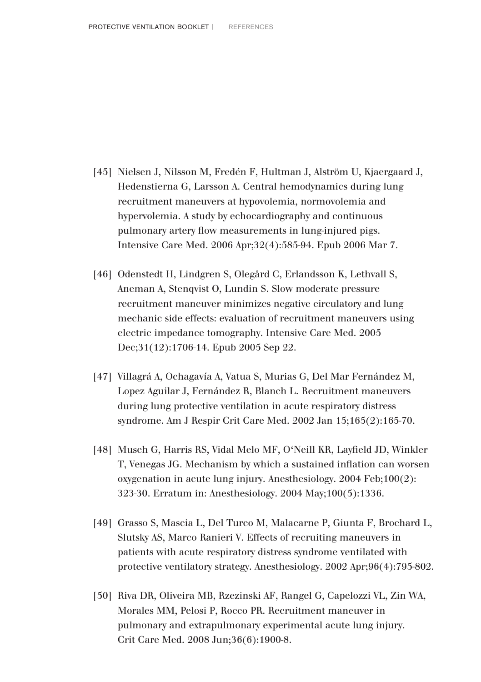- [45] Nielsen J, Nilsson M, Fredén F, Hultman J, Alström U, Kjaergaard J, Hedenstierna G, Larsson A. Central hemodynamics during lung recruitment maneuvers at hypovolemia, normovolemia and hypervolemia. A study by echocardiography and continuous pulmonary artery flow measurements in lung-injured pigs. Intensive Care Med. 2006 Apr;32(4):585-94. Epub 2006 Mar 7.
- [46] Odenstedt H, Lindgren S, Olegård C, Erlandsson K, Lethvall S, Aneman A, Stenqvist O, Lundin S. Slow moderate pressure recruitment maneuver minimizes negative circulatory and lung mechanic side effects: evaluation of recruitment maneuvers using electric impedance tomography. Intensive Care Med. 2005 Dec;31(12):1706-14. Epub 2005 Sep 22.
- [47] Villagrá A, Ochagavía A, Vatua S, Murias G, Del Mar Fernández M, Lopez Aguilar J, Fernández R, Blanch L. Recruitment maneuvers during lung protective ventilation in acute respiratory distress syndrome. Am J Respir Crit Care Med. 2002 Jan 15;165(2):165-70.
- [48] Musch G, Harris RS, Vidal Melo MF, O'Neill KR, Layfield JD, Winkler T, Venegas JG. Mechanism by which a sustained inflation can worsen oxygenation in acute lung injury. Anesthesiology. 2004 Feb;100(2): 323-30. Erratum in: Anesthesiology. 2004 May;100(5):1336.
- [49] Grasso S, Mascia L, Del Turco M, Malacarne P, Giunta F, Brochard L, Slutsky AS, Marco Ranieri V. Effects of recruiting maneuvers in patients with acute respiratory distress syndrome ventilated with protective ventilatory strategy. Anesthesiology. 2002 Apr;96(4):795-802.
- [50] Riva DR, Oliveira MB, Rzezinski AF, Rangel G, Capelozzi VL, Zin WA, Morales MM, Pelosi P, Rocco PR. Recruitment maneuver in pulmonary and extrapulmonary experimental acute lung injury. Crit Care Med. 2008 Jun;36(6):1900-8.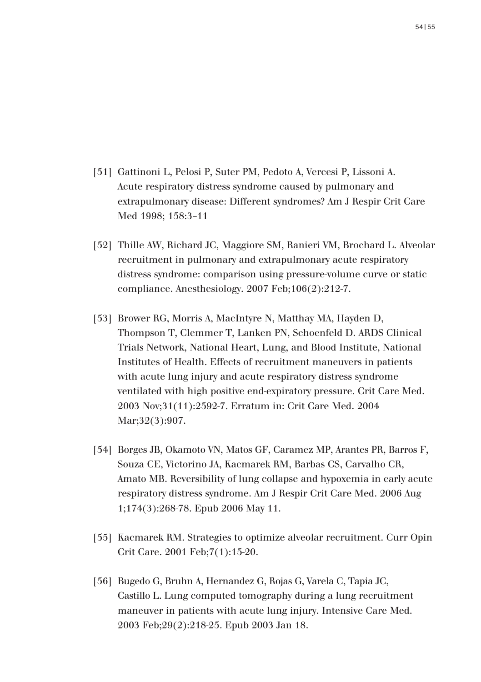- [51] Gattinoni L, Pelosi P, Suter PM, Pedoto A, Vercesi P, Lissoni A. Acute respiratory distress syndrome caused by pulmonary and extrapulmonary disease: Different syndromes? Am J Respir Crit Care Med 1998; 158:3–11
- [52] Thille AW, Richard JC, Maggiore SM, Ranieri VM, Brochard L. Alveolar recruitment in pulmonary and extrapulmonary acute respiratory distress syndrome: comparison using pressure-volume curve or static compliance. Anesthesiology. 2007 Feb;106(2):212-7.
- [53] Brower RG, Morris A, MacIntyre N, Matthay MA, Hayden D, Thompson T, Clemmer T, Lanken PN, Schoenfeld D. ARDS Clinical Trials Network, National Heart, Lung, and Blood Institute, National Institutes of Health. Effects of recruitment maneuvers in patients with acute lung injury and acute respiratory distress syndrome ventilated with high positive end-expiratory pressure. Crit Care Med. 2003 Nov;31(11):2592-7. Erratum in: Crit Care Med. 2004 Mar:32(3):907.
- [54] Borges JB, Okamoto VN, Matos GF, Caramez MP, Arantes PR, Barros F, Souza CE, Victorino JA, Kacmarek RM, Barbas CS, Carvalho CR, Amato MB. Reversibility of lung collapse and hypoxemia in early acute respiratory distress syndrome. Am J Respir Crit Care Med. 2006 Aug 1;174(3):268-78. Epub 2006 May 11.
- [55] Kacmarek RM. Strategies to optimize alveolar recruitment. Curr Opin Crit Care. 2001 Feb;7(1):15-20.
- [56] Bugedo G, Bruhn A, Hernandez G, Rojas G, Varela C, Tapia JC, Castillo L. Lung computed tomography during a lung recruitment maneuver in patients with acute lung injury. Intensive Care Med. 2003 Feb;29(2):218-25. Epub 2003 Jan 18.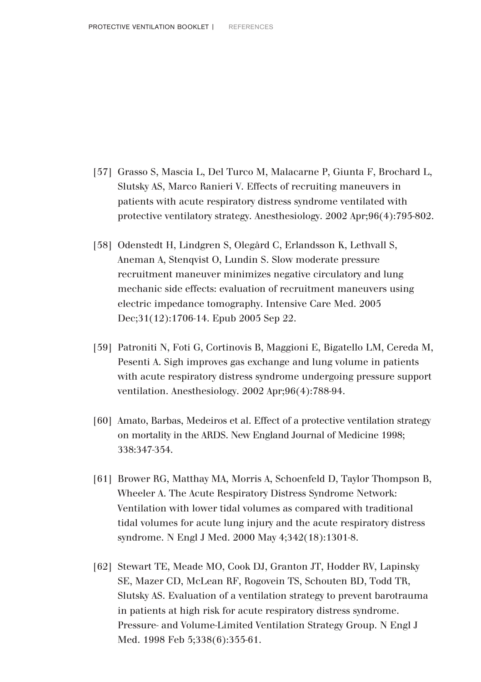- [57] Grasso S, Mascia L, Del Turco M, Malacarne P, Giunta F, Brochard L, Slutsky AS, Marco Ranieri V. Effects of recruiting maneuvers in patients with acute respiratory distress syndrome ventilated with protective ventilatory strategy. Anesthesiology. 2002 Apr;96(4):795-802.
- [58] Odenstedt H, Lindgren S, Olegård C, Erlandsson K, Lethvall S, Aneman A, Stenqvist O, Lundin S. Slow moderate pressure recruitment maneuver minimizes negative circulatory and lung mechanic side effects: evaluation of recruitment maneuvers using electric impedance tomography. Intensive Care Med. 2005 Dec;31(12):1706-14. Epub 2005 Sep 22.
- [59] Patroniti N, Foti G, Cortinovis B, Maggioni E, Bigatello LM, Cereda M, Pesenti A. Sigh improves gas exchange and lung volume in patients with acute respiratory distress syndrome undergoing pressure support ventilation. Anesthesiology. 2002 Apr;96(4):788-94.
- [60] Amato, Barbas, Medeiros et al. Effect of a protective ventilation strategy on mortality in the ARDS. New England Journal of Medicine 1998; 338:347-354.
- [61] Brower RG, Matthay MA, Morris A, Schoenfeld D, Taylor Thompson B, Wheeler A. The Acute Respiratory Distress Syndrome Network: Ventilation with lower tidal volumes as compared with traditional tidal volumes for acute lung injury and the acute respiratory distress syndrome. N Engl J Med. 2000 May 4;342(18):1301-8.
- [62] Stewart TE, Meade MO, Cook DJ, Granton JT, Hodder RV, Lapinsky SE, Mazer CD, McLean RF, Rogovein TS, Schouten BD, Todd TR, Slutsky AS. Evaluation of a ventilation strategy to prevent barotrauma in patients at high risk for acute respiratory distress syndrome. Pressure- and Volume-Limited Ventilation Strategy Group. N Engl J Med. 1998 Feb 5;338(6):355-61.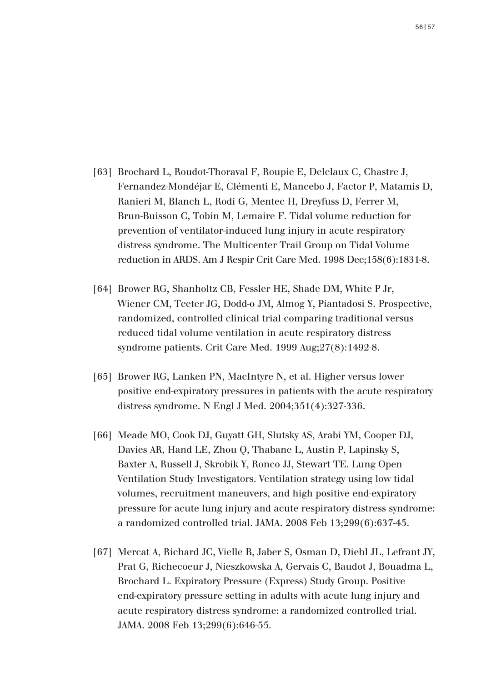- [63] Brochard L, Roudot-Thoraval F, Roupie E, Delclaux C, Chastre J, Fernandez-Mondéjar E, Clémenti E, Mancebo J, Factor P, Matamis D, Ranieri M, Blanch L, Rodi G, Mentec H, Dreyfuss D, Ferrer M, Brun-Buisson C, Tobin M, Lemaire F. Tidal volume reduction for prevention of ventilator-induced lung injury in acute respiratory distress syndrome. The Multicenter Trail Group on Tidal Volume reduction in ARDS. Am J Respir Crit Care Med. 1998 Dec;158(6):1831-8.
- [64] Brower RG, Shanholtz CB, Fessler HE, Shade DM, White P Jr, Wiener CM, Teeter JG, Dodd-o JM, Almog Y, Piantadosi S. Prospective, randomized, controlled clinical trial comparing traditional versus reduced tidal volume ventilation in acute respiratory distress syndrome patients. Crit Care Med. 1999 Aug;27(8):1492-8.
- [65] Brower RG, Lanken PN, MacIntyre N, et al. Higher versus lower positive end-expiratory pressures in patients with the acute respiratory distress syndrome. N Engl J Med. 2004;351(4):327-336.
- [66] Meade MO, Cook DJ, Guyatt GH, Slutsky AS, Arabi YM, Cooper DJ, Davies AR, Hand LE, Zhou Q, Thabane L, Austin P, Lapinsky S, Baxter A, Russell J, Skrobik Y, Ronco JJ, Stewart TE. Lung Open Ventilation Study Investigators. Ventilation strategy using low tidal volumes, recruitment maneuvers, and high positive end-expiratory pressure for acute lung injury and acute respiratory distress syndrome: a randomized controlled trial. JAMA. 2008 Feb 13;299(6):637-45.
- [67] Mercat A, Richard JC, Vielle B, Jaber S, Osman D, Diehl JL, Lefrant JY, Prat G, Richecoeur J, Nieszkowska A, Gervais C, Baudot J, Bouadma L, Brochard L. Expiratory Pressure (Express) Study Group. Positive end-expiratory pressure setting in adults with acute lung injury and acute respiratory distress syndrome: a randomized controlled trial. JAMA. 2008 Feb 13;299(6):646-55.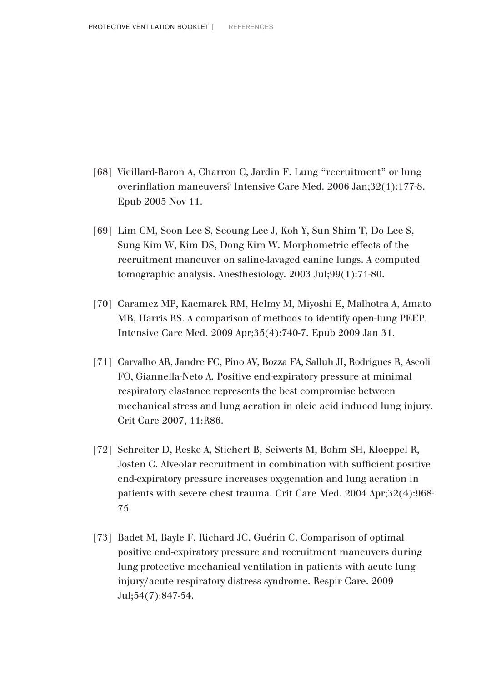- [68] Vieillard-Baron A, Charron C, Jardin F. Lung "recruitment" or lung overinflation maneuvers? Intensive Care Med. 2006 Jan;32(1):177-8. Epub 2005 Nov 11.
- [69] Lim CM, Soon Lee S, Seoung Lee J, Koh Y, Sun Shim T, Do Lee S, Sung Kim W, Kim DS, Dong Kim W. Morphometric effects of the recruitment maneuver on saline-lavaged canine lungs. A computed tomographic analysis. Anesthesiology. 2003 Jul;99(1):71-80.
- [70] Caramez MP, Kacmarek RM, Helmy M, Miyoshi E, Malhotra A, Amato MB, Harris RS. A comparison of methods to identify open-lung PEEP. Intensive Care Med. 2009 Apr;35(4):740-7. Epub 2009 Jan 31.
- [71] Carvalho AR, Jandre FC, Pino AV, Bozza FA, Salluh JI, Rodrigues R, Ascoli FO, Giannella-Neto A. Positive end-expiratory pressure at minimal respiratory elastance represents the best compromise between mechanical stress and lung aeration in oleic acid induced lung injury. Crit Care 2007, 11:R86.
- [72] Schreiter D, Reske A, Stichert B, Seiwerts M, Bohm SH, Kloeppel R, Josten C. Alveolar recruitment in combination with sufficient positive end-expiratory pressure increases oxygenation and lung aeration in patients with severe chest trauma. Crit Care Med. 2004 Apr;32(4):968- 75.
- [73] Badet M, Bayle F, Richard JC, Guérin C. Comparison of optimal positive end-expiratory pressure and recruitment maneuvers during lung-protective mechanical ventilation in patients with acute lung injury/acute respiratory distress syndrome. Respir Care. 2009 Jul;54(7):847-54.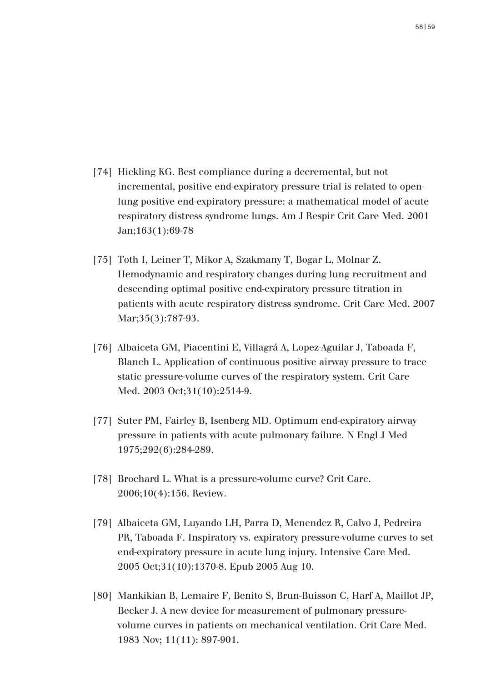- [74] Hickling KG. Best compliance during a decremental, but not incremental, positive end-expiratory pressure trial is related to openlung positive end-expiratory pressure: a mathematical model of acute respiratory distress syndrome lungs. Am J Respir Crit Care Med. 2001 Jan;163(1):69-78
- [75] Toth I, Leiner T, Mikor A, Szakmany T, Bogar L, Molnar Z. Hemodynamic and respiratory changes during lung recruitment and descending optimal positive end-expiratory pressure titration in patients with acute respiratory distress syndrome. Crit Care Med. 2007 Mar:35(3):787-93.
- [76] Albaiceta GM, Piacentini E, Villagrá A, Lopez-Aguilar J, Taboada F, Blanch L. Application of continuous positive airway pressure to trace static pressure-volume curves of the respiratory system. Crit Care Med. 2003 Oct;31(10):2514-9.
- [77] Suter PM, Fairley B, Isenberg MD. Optimum end-expiratory airway pressure in patients with acute pulmonary failure. N Engl J Med 1975;292(6):284-289.
- [78] Brochard L. What is a pressure-volume curve? Crit Care. 2006;10(4):156. Review.
- [79] Albaiceta GM, Luyando LH, Parra D, Menendez R, Calvo J, Pedreira PR, Taboada F. Inspiratory vs. expiratory pressure-volume curves to set end-expiratory pressure in acute lung injury. Intensive Care Med. 2005 Oct;31(10):1370-8. Epub 2005 Aug 10.
- [80] Mankikian B, Lemaire F, Benito S, Brun-Buisson C, Harf A, Maillot JP, Becker J. A new device for measurement of pulmonary pressurevolume curves in patients on mechanical ventilation. Crit Care Med. 1983 Nov; 11(11): 897-901.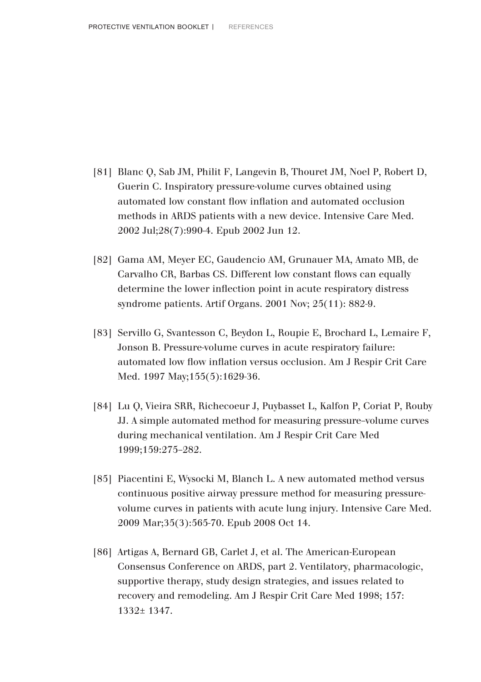- [81] Blanc Q, Sab JM, Philit F, Langevin B, Thouret JM, Noel P, Robert D, Guerin C. Inspiratory pressure-volume curves obtained using automated low constant flow inflation and automated occlusion methods in ARDS patients with a new device. Intensive Care Med. 2002 Jul;28(7):990-4. Epub 2002 Jun 12.
- [82] Gama AM, Meyer EC, Gaudencio AM, Grunauer MA, Amato MB, de Carvalho CR, Barbas CS. Different low constant flows can equally determine the lower inflection point in acute respiratory distress syndrome patients. Artif Organs. 2001 Nov; 25(11): 882-9.
- [83] Servillo G, Svantesson C, Beydon L, Roupie E, Brochard L, Lemaire F, Jonson B. Pressure-volume curves in acute respiratory failure: automated low flow inflation versus occlusion. Am J Respir Crit Care Med. 1997 May: 155(5): 1629-36.
- [84] Lu Q, Vieira SRR, Richecoeur J, Puybasset L, Kalfon P, Coriat P, Rouby JJ. A simple automated method for measuring pressure–volume curves during mechanical ventilation. Am J Respir Crit Care Med 1999;159:275–282.
- [85] Piacentini E, Wysocki M, Blanch L. A new automated method versus continuous positive airway pressure method for measuring pressurevolume curves in patients with acute lung injury. Intensive Care Med. 2009 Mar;35(3):565-70. Epub 2008 Oct 14.
- [86] Artigas A, Bernard GB, Carlet J, et al. The American-European Consensus Conference on ARDS, part 2. Ventilatory, pharmacologic, supportive therapy, study design strategies, and issues related to recovery and remodeling. Am J Respir Crit Care Med 1998; 157: 1332± 1347.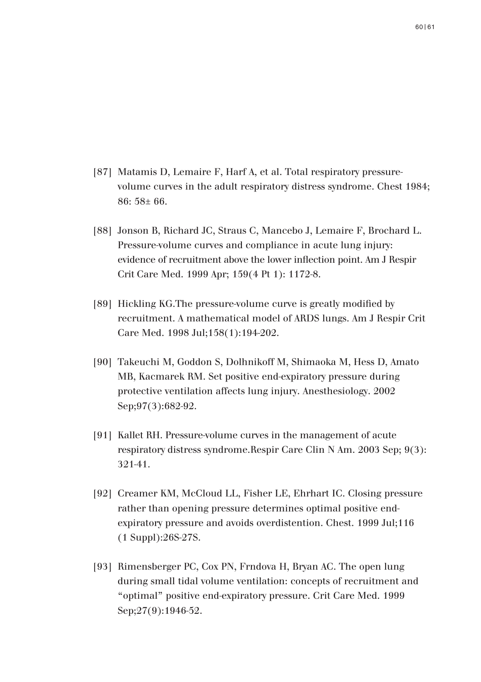- [87] Matamis D, Lemaire F, Harf A, et al. Total respiratory pressurevolume curves in the adult respiratory distress syndrome. Chest 1984; 86: 58± 66.
- [88] Jonson B, Richard JC, Straus C, Mancebo J, Lemaire F, Brochard L. Pressure-volume curves and compliance in acute lung injury: evidence of recruitment above the lower inflection point. Am J Respir Crit Care Med. 1999 Apr; 159(4 Pt 1): 1172-8.
- [89] Hickling KG.The pressure-volume curve is greatly modified by recruitment. A mathematical model of ARDS lungs. Am J Respir Crit Care Med. 1998 Jul;158(1):194-202.
- [90] Takeuchi M, Goddon S, Dolhnikoff M, Shimaoka M, Hess D, Amato MB, Kacmarek RM. Set positive end-expiratory pressure during protective ventilation affects lung injury. Anesthesiology. 2002 Sep: 97(3): 682-92.
- [91] Kallet RH. Pressure-volume curves in the management of acute respiratory distress syndrome.Respir Care Clin N Am. 2003 Sep; 9(3): 321-41.
- [92] Creamer KM, McCloud LL, Fisher LE, Ehrhart IC. Closing pressure rather than opening pressure determines optimal positive endexpiratory pressure and avoids overdistention. Chest. 1999 Jul;116 (1 Suppl):26S-27S.
- [93] Rimensberger PC, Cox PN, Frndova H, Bryan AC. The open lung during small tidal volume ventilation: concepts of recruitment and "optimal" positive end-expiratory pressure. Crit Care Med. 1999 Sep: 27(9): 1946-52.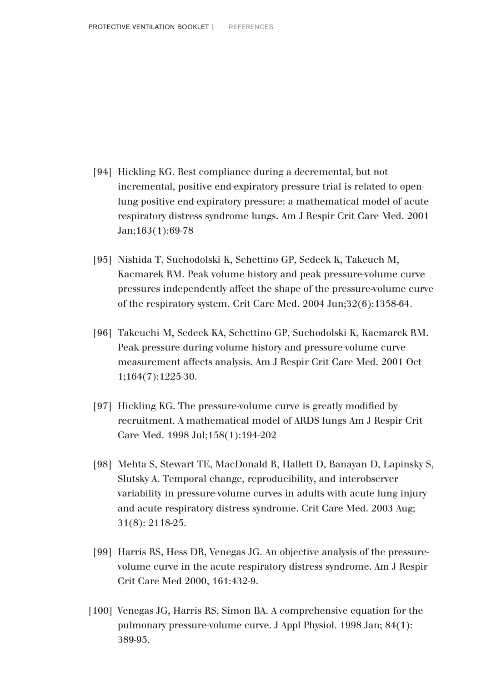- [94] Hickling KG. Best compliance during a decremental, but not incremental, positive end-expiratory pressure trial is related to openlung positive end-expiratory pressure: a mathematical model of acute respiratory distress syndrome lungs. Am J Respir Crit Care Med. 2001 Jan;163(1):69-78
- [95] Nishida T, Suchodolski K, Schettino GP, Sedeek K, Takeuch M, Kacmarek RM. Peak volume history and peak pressure-volume curve pressures independently affect the shape of the pressure-volume curve of the respiratory system. Crit Care Med. 2004 Jun;32(6):1358-64.
- [96] Takeuchi M, Sedeek KA, Schettino GP, Suchodolski K, Kacmarek RM. Peak pressure during volume history and pressure-volume curve measurement affects analysis. Am J Respir Crit Care Med. 2001 Oct 1;164(7):1225-30.
- [97] Hickling KG. The pressure-volume curve is greatly modified by recruitment. A mathematical model of ARDS lungs Am J Respir Crit Care Med. 1998 Jul;158(1):194-202
- [98] Mehta S, Stewart TE, MacDonald R, Hallett D, Banayan D, Lapinsky S, Slutsky A. Temporal change, reproducibility, and interobserver variability in pressure-volume curves in adults with acute lung injury and acute respiratory distress syndrome. Crit Care Med. 2003 Aug; 31(8): 2118-25.
- [99] Harris RS, Hess DR, Venegas JG. An objective analysis of the pressurevolume curve in the acute respiratory distress syndrome. Am J Respir Crit Care Med 2000, 161:432-9.
- [100] Venegas JG, Harris RS, Simon BA. A comprehensive equation for the pulmonary pressure-volume curve. J Appl Physiol. 1998 Jan; 84(1): 389-95.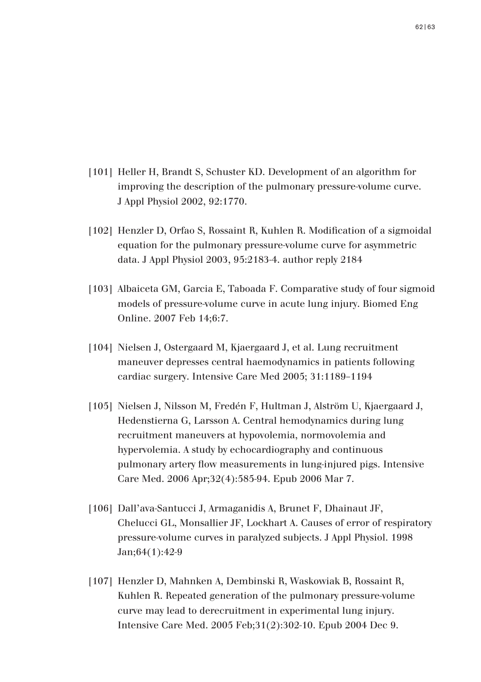- [101] Heller H, Brandt S, Schuster KD. Development of an algorithm for improving the description of the pulmonary pressure-volume curve. J Appl Physiol 2002, 92:1770.
- [102] Henzler D, Orfao S, Rossaint R, Kuhlen R. Modification of a sigmoidal equation for the pulmonary pressure-volume curve for asymmetric data. J Appl Physiol 2003, 95:2183-4. author reply 2184
- [103] Albaiceta GM, Garcia E, Taboada F. Comparative study of four sigmoid models of pressure-volume curve in acute lung injury. Biomed Eng Online. 2007 Feb 14;6:7.
- [104] Nielsen J. Ostergaard M. Kjaergaard J. et al. Lung recruitment maneuver depresses central haemodynamics in patients following cardiac surgery. Intensive Care Med 2005; 31:1189–1194
- [105] Nielsen J, Nilsson M, Fredén F, Hultman J, Alström U, Kjaergaard J, Hedenstierna G, Larsson A. Central hemodynamics during lung recruitment maneuvers at hypovolemia, normovolemia and hypervolemia. A study by echocardiography and continuous pulmonary artery flow measurements in lung-injured pigs. Intensive Care Med. 2006 Apr;32(4):585-94. Epub 2006 Mar 7.
- [106] Dall'ava-Santucci J, Armaganidis A, Brunet F, Dhainaut JF, Chelucci GL, Monsallier JF, Lockhart A. Causes of error of respiratory pressure-volume curves in paralyzed subjects. J Appl Physiol. 1998 Jan;64(1):42-9
- [107] Henzler D, Mahnken A, Dembinski R, Waskowiak B, Rossaint R, Kuhlen R. Repeated generation of the pulmonary pressure-volume curve may lead to derecruitment in experimental lung injury. Intensive Care Med. 2005 Feb;31(2):302-10. Epub 2004 Dec 9.